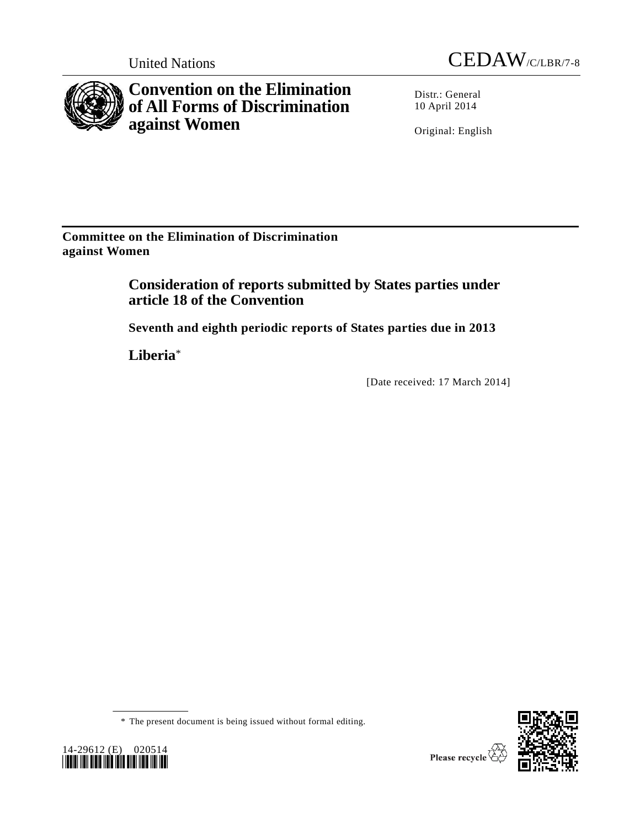



**Convention on the Elimination of All Forms of Discrimination against Women**

Distr.: General 10 April 2014

Original: English

**Committee on the Elimination of Discrimination against Women** 

> **Consideration of reports submitted by States parties under article 18 of the Convention**

**Seventh and eighth periodic reports of States parties due in 2013** 

**Liberia**\*

14-29612 (E) 020514 *\*1429612\**

[Date received: 17 March 2014]

\* The present document is being issued without formal editing.

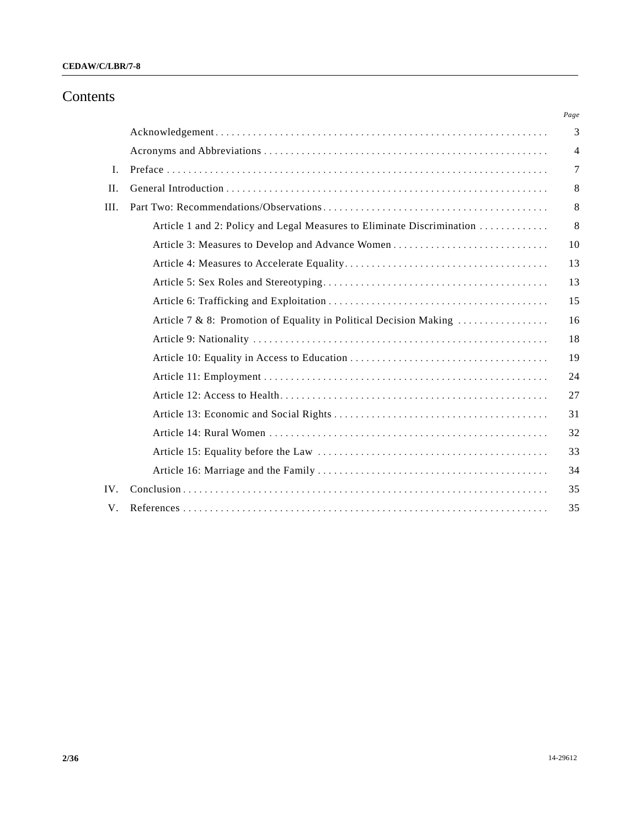## Contents

|      |                                                                        | Page |
|------|------------------------------------------------------------------------|------|
|      |                                                                        | 3    |
|      |                                                                        | 4    |
| I.   |                                                                        | 7    |
| H.   |                                                                        | 8    |
| III. |                                                                        | 8    |
|      | Article 1 and 2: Policy and Legal Measures to Eliminate Discrimination | 8    |
|      |                                                                        | 10   |
|      |                                                                        | 13   |
|      |                                                                        | 13   |
|      |                                                                        | 15   |
|      | Article 7 & 8: Promotion of Equality in Political Decision Making      | 16   |
|      |                                                                        | 18   |
|      |                                                                        | 19   |
|      |                                                                        | 24   |
|      |                                                                        | 27   |
|      |                                                                        | 31   |
|      |                                                                        | 32   |
|      |                                                                        | 33   |
|      |                                                                        | 34   |
| IV.  |                                                                        | 35   |
| V.   |                                                                        | 35   |
|      |                                                                        |      |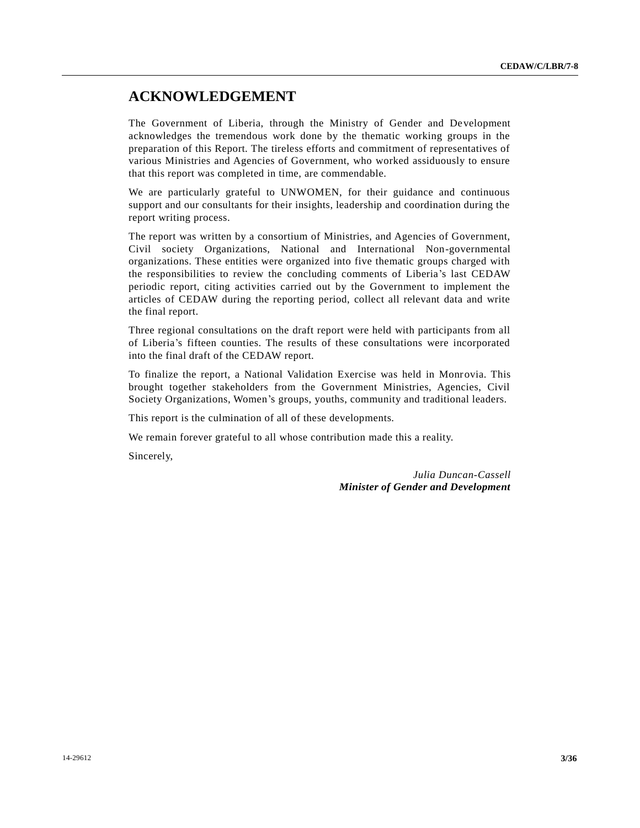## **ACKNOWLEDGEMENT**

The Government of Liberia, through the Ministry of Gender and Development acknowledges the tremendous work done by the thematic working groups in the preparation of this Report. The tireless efforts and commitment of representatives of various Ministries and Agencies of Government, who worked assiduously to ensure that this report was completed in time, are commendable.

We are particularly grateful to UNWOMEN, for their guidance and continuous support and our consultants for their insights, leadership and coordination during the report writing process.

The report was written by a consortium of Ministries, and Agencies of Government, Civil society Organizations, National and International Non-governmental organizations. These entities were organized into five thematic groups charged with the responsibilities to review the concluding comments of Liberia's last CEDAW periodic report, citing activities carried out by the Government to implement the articles of CEDAW during the reporting period, collect all relevant data and write the final report.

Three regional consultations on the draft report were held with participants from all of Liberia's fifteen counties. The results of these consultations were incorporated into the final draft of the CEDAW report.

To finalize the report, a National Validation Exercise was held in Monrovia. This brought together stakeholders from the Government Ministries, Agencies, Civil Society Organizations, Women's groups, youths, community and traditional leaders.

This report is the culmination of all of these developments.

We remain forever grateful to all whose contribution made this a reality.

Sincerely,

*Julia Duncan-Cassell Minister of Gender and Development*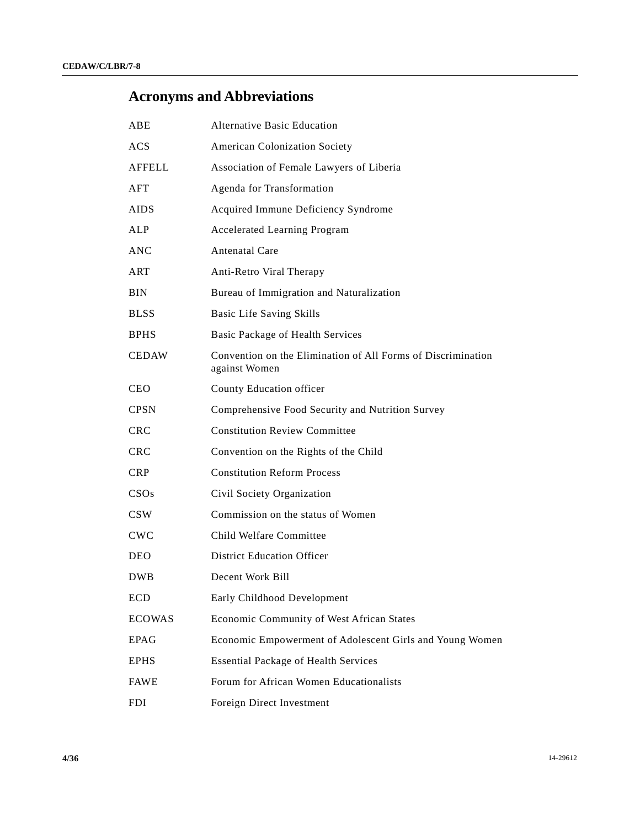# **Acronyms and Abbreviations**

| ABE               | <b>Alternative Basic Education</b>                                            |
|-------------------|-------------------------------------------------------------------------------|
| ACS               | American Colonization Society                                                 |
| AFFELL            | Association of Female Lawyers of Liberia                                      |
| AFT               | Agenda for Transformation                                                     |
| AIDS              | Acquired Immune Deficiency Syndrome                                           |
| ALP               | <b>Accelerated Learning Program</b>                                           |
| ANC               | <b>Antenatal Care</b>                                                         |
| ART               | Anti-Retro Viral Therapy                                                      |
| BIN               | Bureau of Immigration and Naturalization                                      |
| BLSS              | <b>Basic Life Saving Skills</b>                                               |
| BPHS              | Basic Package of Health Services                                              |
| CEDAW             | Convention on the Elimination of All Forms of Discrimination<br>against Women |
| CEO               | County Education officer                                                      |
| CPSN              | Comprehensive Food Security and Nutrition Survey                              |
| CRC               | <b>Constitution Review Committee</b>                                          |
| CRC               | Convention on the Rights of the Child                                         |
| <b>CRP</b>        | <b>Constitution Reform Process</b>                                            |
| CSOs              | Civil Society Organization                                                    |
| CSW               | Commission on the status of Women                                             |
| $_{\mathrm{CWC}}$ | Child Welfare Committee                                                       |
| DEO               | <b>District Education Officer</b>                                             |
| <b>DWB</b>        | Decent Work Bill                                                              |
| ECD               | Early Childhood Development                                                   |
| <b>ECOWAS</b>     | Economic Community of West African States                                     |
| <b>EPAG</b>       | Economic Empowerment of Adolescent Girls and Young Women                      |
| EPHS              | <b>Essential Package of Health Services</b>                                   |
| FAWE              | Forum for African Women Educationalists                                       |
| FDI               | Foreign Direct Investment                                                     |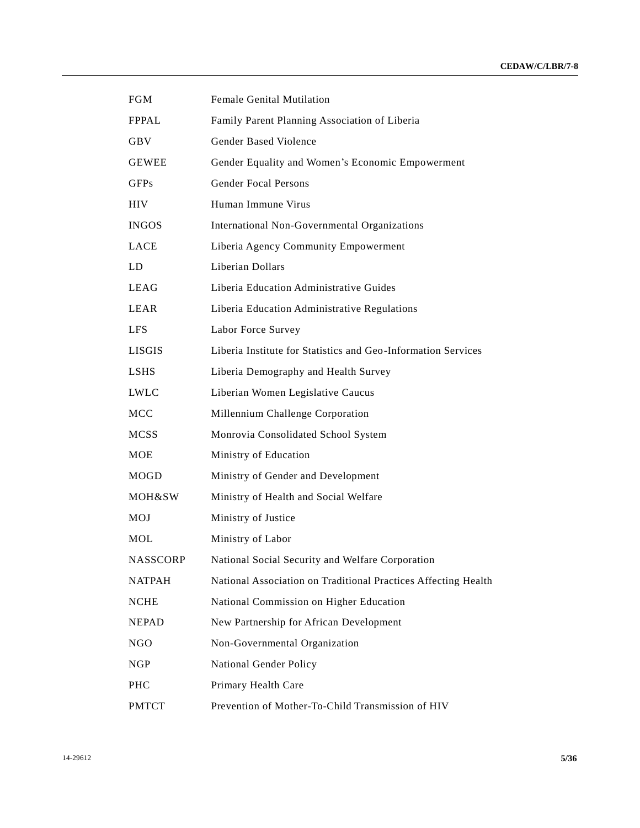| <b>FGM</b>    | <b>Female Genital Mutilation</b>                               |
|---------------|----------------------------------------------------------------|
| <b>FPPAL</b>  | Family Parent Planning Association of Liberia                  |
| <b>GBV</b>    | Gender Based Violence                                          |
| <b>GEWEE</b>  | Gender Equality and Women's Economic Empowerment               |
| <b>GFPs</b>   | <b>Gender Focal Persons</b>                                    |
| <b>HIV</b>    | Human Immune Virus                                             |
| <b>INGOS</b>  | International Non-Governmental Organizations                   |
| <b>LACE</b>   | Liberia Agency Community Empowerment                           |
| LD            | Liberian Dollars                                               |
| <b>LEAG</b>   | Liberia Education Administrative Guides                        |
| LEAR          | Liberia Education Administrative Regulations                   |
| <b>LFS</b>    | Labor Force Survey                                             |
| <b>LISGIS</b> | Liberia Institute for Statistics and Geo-Information Services  |
| <b>LSHS</b>   | Liberia Demography and Health Survey                           |
| <b>LWLC</b>   | Liberian Women Legislative Caucus                              |
| <b>MCC</b>    | Millennium Challenge Corporation                               |
| <b>MCSS</b>   | Monrovia Consolidated School System                            |
| <b>MOE</b>    | Ministry of Education                                          |
| MOGD          | Ministry of Gender and Development                             |
| MOH&SW        | Ministry of Health and Social Welfare                          |
| MOJ           | Ministry of Justice                                            |
| MOL           | Ministry of Labor                                              |
| NASSCORP      | National Social Security and Welfare Corporation               |
| <b>NATPAH</b> | National Association on Traditional Practices Affecting Health |
| $\sf NCHE$    | National Commission on Higher Education                        |
| <b>NEPAD</b>  | New Partnership for African Development                        |
| <b>NGO</b>    | Non-Governmental Organization                                  |
| <b>NGP</b>    | National Gender Policy                                         |
| PHC           | Primary Health Care                                            |
| <b>PMTCT</b>  | Prevention of Mother-To-Child Transmission of HIV              |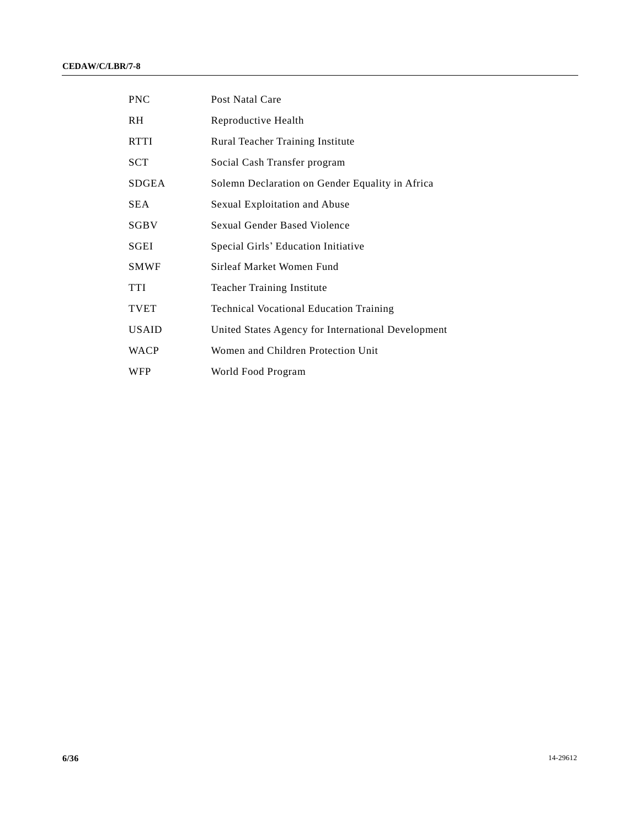| <b>PNC</b>   | Post Natal Care                                    |
|--------------|----------------------------------------------------|
| <b>RH</b>    | Reproductive Health                                |
| <b>RTTI</b>  | Rural Teacher Training Institute                   |
| SCT          | Social Cash Transfer program                       |
| <b>SDGEA</b> | Solemn Declaration on Gender Equality in Africa    |
| SEA.         | Sexual Exploitation and Abuse                      |
| SGBV         | Sexual Gender Based Violence                       |
| <b>SGEI</b>  | Special Girls' Education Initiative                |
| <b>SMWF</b>  | Sirleaf Market Women Fund                          |
| <b>TTI</b>   | <b>Teacher Training Institute</b>                  |
| <b>TVET</b>  | <b>Technical Vocational Education Training</b>     |
| <b>USAID</b> | United States Agency for International Development |
| <b>WACP</b>  | Women and Children Protection Unit                 |
| <b>WFP</b>   | World Food Program                                 |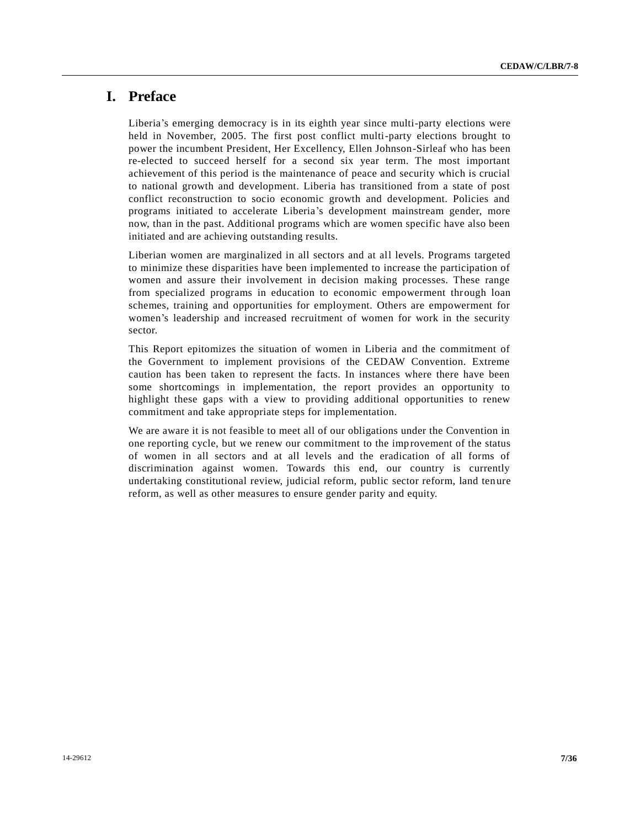## **I. Preface**

Liberia's emerging democracy is in its eighth year since multi-party elections were held in November, 2005. The first post conflict multi-party elections brought to power the incumbent President, Her Excellency, Ellen Johnson-Sirleaf who has been re-elected to succeed herself for a second six year term. The most important achievement of this period is the maintenance of peace and security which is crucial to national growth and development. Liberia has transitioned from a state of post conflict reconstruction to socio economic growth and development. Policies and programs initiated to accelerate Liberia's development mainstream gender, more now, than in the past. Additional programs which are women specific have also been initiated and are achieving outstanding results.

Liberian women are marginalized in all sectors and at all levels. Programs targeted to minimize these disparities have been implemented to increase the participation of women and assure their involvement in decision making processes. These range from specialized programs in education to economic empowerment through loan schemes, training and opportunities for employment. Others are empowerment for women's leadership and increased recruitment of women for work in the security sector.

This Report epitomizes the situation of women in Liberia and the commitment of the Government to implement provisions of the CEDAW Convention. Extreme caution has been taken to represent the facts. In instances where there have been some shortcomings in implementation, the report provides an opportunity to highlight these gaps with a view to providing additional opportunities to renew commitment and take appropriate steps for implementation.

We are aware it is not feasible to meet all of our obligations under the Convention in one reporting cycle, but we renew our commitment to the improvement of the status of women in all sectors and at all levels and the eradication of all forms of discrimination against women. Towards this end, our country is currently undertaking constitutional review, judicial reform, public sector reform, land ten ure reform, as well as other measures to ensure gender parity and equity.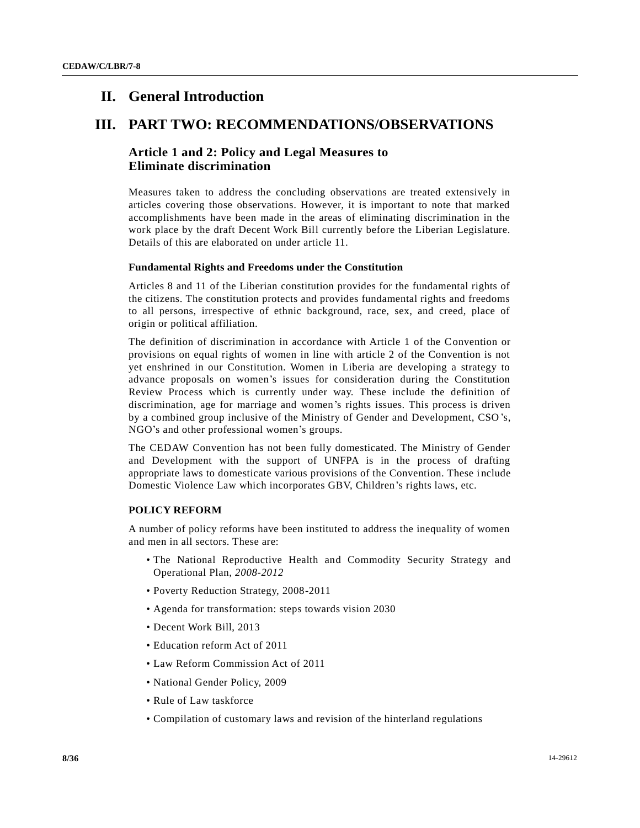## **II. General Introduction**

## **III. PART TWO: RECOMMENDATIONS/OBSERVATIONS**

## **Article 1 and 2: Policy and Legal Measures to Eliminate discrimination**

Measures taken to address the concluding observations are treated extensively in articles covering those observations. However, it is important to note that marked accomplishments have been made in the areas of eliminating discrimination in the work place by the draft Decent Work Bill currently before the Liberian Legislature. Details of this are elaborated on under article 11.

## **Fundamental Rights and Freedoms under the Constitution**

Articles 8 and 11 of the Liberian constitution provides for the fundamental rights of the citizens. The constitution protects and provides fundamental rights and freedoms to all persons, irrespective of ethnic background, race, sex, and creed, place of origin or political affiliation.

The definition of discrimination in accordance with Article 1 of the Convention or provisions on equal rights of women in line with article 2 of the Convention is not yet enshrined in our Constitution. Women in Liberia are developing a strategy to advance proposals on women's issues for consideration during the Constitution Review Process which is currently under way. These include the definition of discrimination, age for marriage and women's rights issues. This process is driven by a combined group inclusive of the Ministry of Gender and Development, CSO's, NGO's and other professional women's groups.

The CEDAW Convention has not been fully domesticated. The Ministry of Gender and Development with the support of UNFPA is in the process of drafting appropriate laws to domesticate various provisions of the Convention. These i nclude Domestic Violence Law which incorporates GBV, Children's rights laws, etc.

## **POLICY REFORM**

A number of policy reforms have been instituted to address the inequality of women and men in all sectors. These are:

- The National Reproductive Health and Commodity Security Strategy and Operational Plan, *2008-2012*
- Poverty Reduction Strategy, 2008-2011
- Agenda for transformation: steps towards vision 2030
- Decent Work Bill, 2013
- Education reform Act of 2011
- Law Reform Commission Act of 2011
- National Gender Policy, 2009
- Rule of Law taskforce
- Compilation of customary laws and revision of the hinterland regulations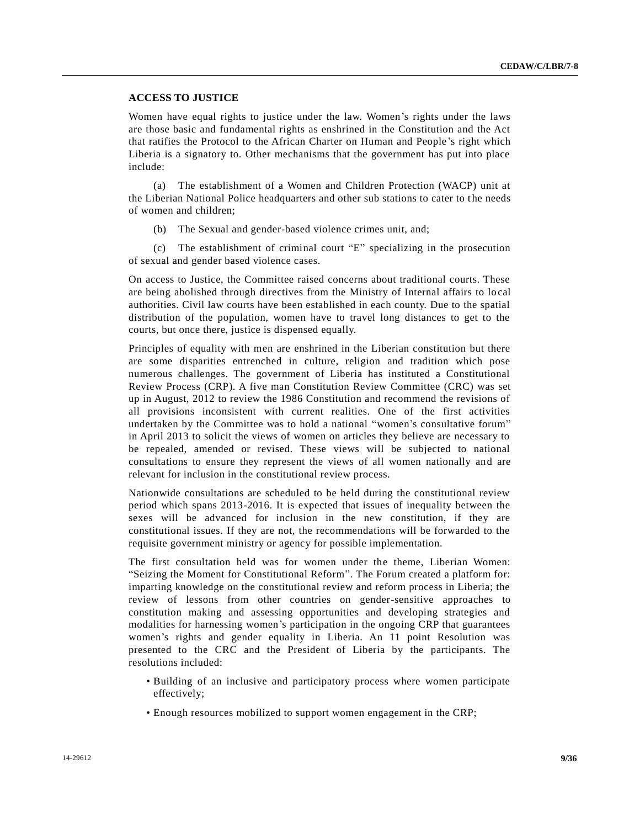## **ACCESS TO JUSTICE**

Women have equal rights to justice under the law. Women's rights under the laws are those basic and fundamental rights as enshrined in the Constitution and the Act that ratifies the Protocol to the African Charter on Human and People 's right which Liberia is a signatory to. Other mechanisms that the government has put into place include:

(a) The establishment of a Women and Children Protection (WACP) unit at the Liberian National Police headquarters and other sub stations to cater to the needs of women and children;

(b) The Sexual and gender-based violence crimes unit, and;

(c) The establishment of criminal court "E" specializing in the prosecution of sexual and gender based violence cases.

On access to Justice, the Committee raised concerns about traditional courts. These are being abolished through directives from the Ministry of Internal affairs to lo cal authorities. Civil law courts have been established in each county. Due to the spatial distribution of the population, women have to travel long distances to get to the courts, but once there, justice is dispensed equally.

Principles of equality with men are enshrined in the Liberian constitution but there are some disparities entrenched in culture, religion and tradition which pose numerous challenges. The government of Liberia has instituted a Constitutional Review Process (CRP). A five man Constitution Review Committee (CRC) was set up in August, 2012 to review the 1986 Constitution and recommend the revisions of all provisions inconsistent with current realities. One of the first activities undertaken by the Committee was to hold a national "women's consultative forum" in April 2013 to solicit the views of women on articles they believe are necessary to be repealed, amended or revised. These views will be subjected to national consultations to ensure they represent the views of all women nationally and are relevant for inclusion in the constitutional review process.

Nationwide consultations are scheduled to be held during the constitutional review period which spans 2013-2016. It is expected that issues of inequality between the sexes will be advanced for inclusion in the new constitution, if they are constitutional issues. If they are not, the recommendations will be forwarded to the requisite government ministry or agency for possible implementation.

The first consultation held was for women under the theme, Liberian Women: "Seizing the Moment for Constitutional Reform". The Forum created a platform for: imparting knowledge on the constitutional review and reform process in Liberia; the review of lessons from other countries on gender-sensitive approaches to constitution making and assessing opportunities and developing strategies and modalities for harnessing women's participation in the ongoing CRP that guarantees women's rights and gender equality in Liberia. An 11 point Resolution was presented to the CRC and the President of Liberia by the participants. The resolutions included:

- Building of an inclusive and participatory process where women participate effectively;
- Enough resources mobilized to support women engagement in the CRP;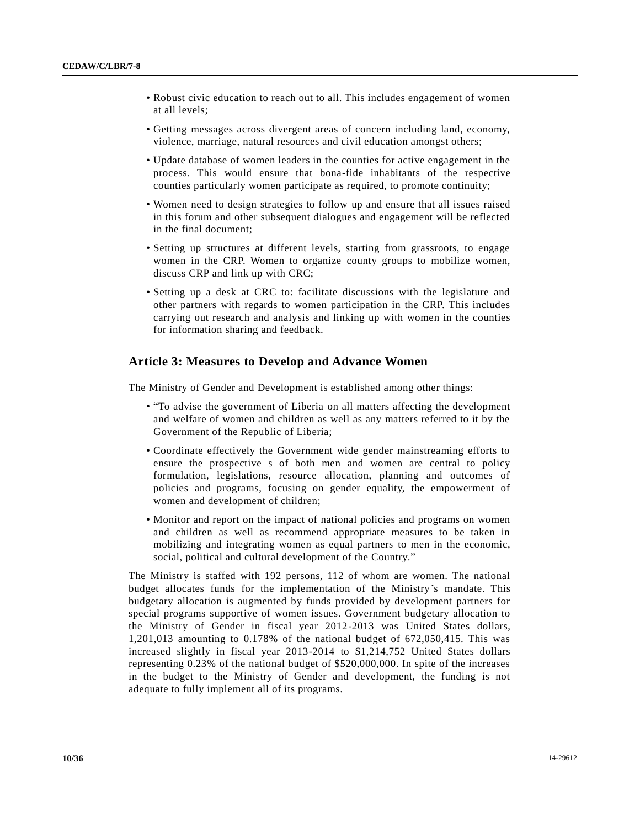- Robust civic education to reach out to all. This includes engagement of women at all levels;
- Getting messages across divergent areas of concern including land, economy, violence, marriage, natural resources and civil education amongst others;
- Update database of women leaders in the counties for active engagement in the process. This would ensure that bona-fide inhabitants of the respective counties particularly women participate as required, to promote continuity;
- Women need to design strategies to follow up and ensure that all issues raised in this forum and other subsequent dialogues and engagement will be reflected in the final document;
- Setting up structures at different levels, starting from grassroots, to engage women in the CRP. Women to organize county groups to mobilize women, discuss CRP and link up with CRC;
- Setting up a desk at CRC to: facilitate discussions with the legislature and other partners with regards to women participation in the CRP. This includes carrying out research and analysis and linking up with women in the counties for information sharing and feedback.

## **Article 3: Measures to Develop and Advance Women**

The Ministry of Gender and Development is established among other things:

- "To advise the government of Liberia on all matters affecting the development and welfare of women and children as well as any matters referred to it by the Government of the Republic of Liberia;
- Coordinate effectively the Government wide gender mainstreaming efforts to ensure the prospective s of both men and women are central to policy formulation, legislations, resource allocation, planning and outcomes of policies and programs, focusing on gender equality, the empowerment of women and development of children;
- Monitor and report on the impact of national policies and programs on women and children as well as recommend appropriate measures to be taken in mobilizing and integrating women as equal partners to men in the economic, social, political and cultural development of the Country."

The Ministry is staffed with 192 persons, 112 of whom are women. The national budget allocates funds for the implementation of the Ministry's mandate. This budgetary allocation is augmented by funds provided by development partners for special programs supportive of women issues. Government budgetary allocation to the Ministry of Gender in fiscal year 2012-2013 was United States dollars, 1,201,013 amounting to 0.178% of the national budget of 672,050,415. This was increased slightly in fiscal year 2013-2014 to \$1,214,752 United States dollars representing 0.23% of the national budget of \$520,000,000. In spite of the increases in the budget to the Ministry of Gender and development, the funding is not adequate to fully implement all of its programs.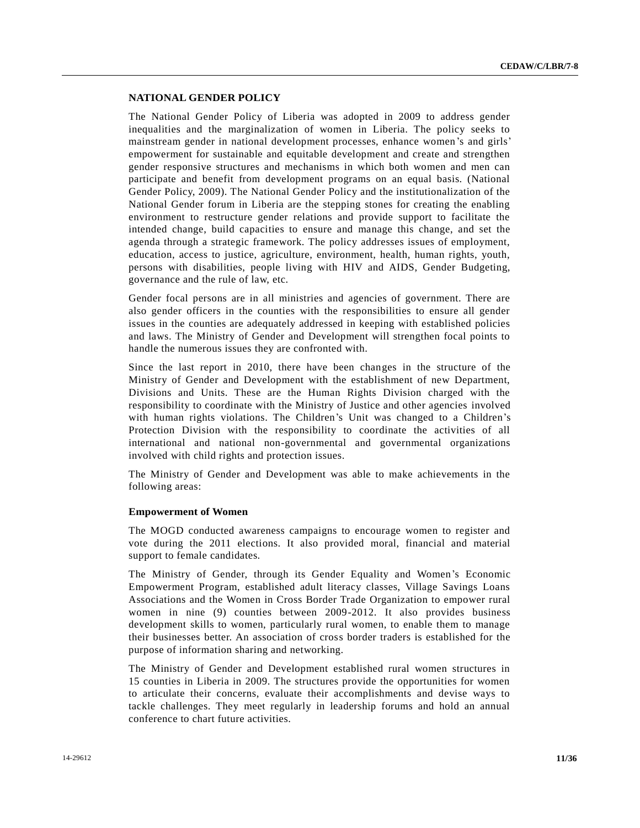## **NATIONAL GENDER POLICY**

The National Gender Policy of Liberia was adopted in 2009 to address gender inequalities and the marginalization of women in Liberia. The policy seeks to mainstream gender in national development processes, enhance women's and girls' empowerment for sustainable and equitable development and create and strengthen gender responsive structures and mechanisms in which both women and men can participate and benefit from development programs on an equal basis. (National Gender Policy, 2009). The National Gender Policy and the institutionalization of the National Gender forum in Liberia are the stepping stones for creating the enabling environment to restructure gender relations and provide support to facilitate the intended change, build capacities to ensure and manage this change, and set the agenda through a strategic framework. The policy addresses issues of employment, education, access to justice, agriculture, environment, health, human rights, youth, persons with disabilities, people living with HIV and AIDS, Gender Budgeting, governance and the rule of law, etc.

Gender focal persons are in all ministries and agencies of government. There are also gender officers in the counties with the responsibilities to ensure all gender issues in the counties are adequately addressed in keeping with established policies and laws. The Ministry of Gender and Development will strengthen focal points to handle the numerous issues they are confronted with.

Since the last report in 2010, there have been changes in the structure of the Ministry of Gender and Development with the establishment of new Department, Divisions and Units. These are the Human Rights Division charged with the responsibility to coordinate with the Ministry of Justice and other agencies involved with human rights violations. The Children's Unit was changed to a Children's Protection Division with the responsibility to coordinate the activities of all international and national non-governmental and governmental organizations involved with child rights and protection issues.

The Ministry of Gender and Development was able to make achievements in the following areas:

#### **Empowerment of Women**

The MOGD conducted awareness campaigns to encourage women to register and vote during the 2011 elections. It also provided moral, financial and material support to female candidates.

The Ministry of Gender, through its Gender Equality and Women's Economic Empowerment Program, established adult literacy classes, Village Savings Loans Associations and the Women in Cross Border Trade Organization to empower rural women in nine (9) counties between 2009-2012. It also provides business development skills to women, particularly rural women, to enable them to manage their businesses better. An association of cross border traders is established for the purpose of information sharing and networking.

The Ministry of Gender and Development established rural women structures in 15 counties in Liberia in 2009. The structures provide the opportunities for women to articulate their concerns, evaluate their accomplishments and devise ways to tackle challenges. They meet regularly in leadership forums and hold an annual conference to chart future activities.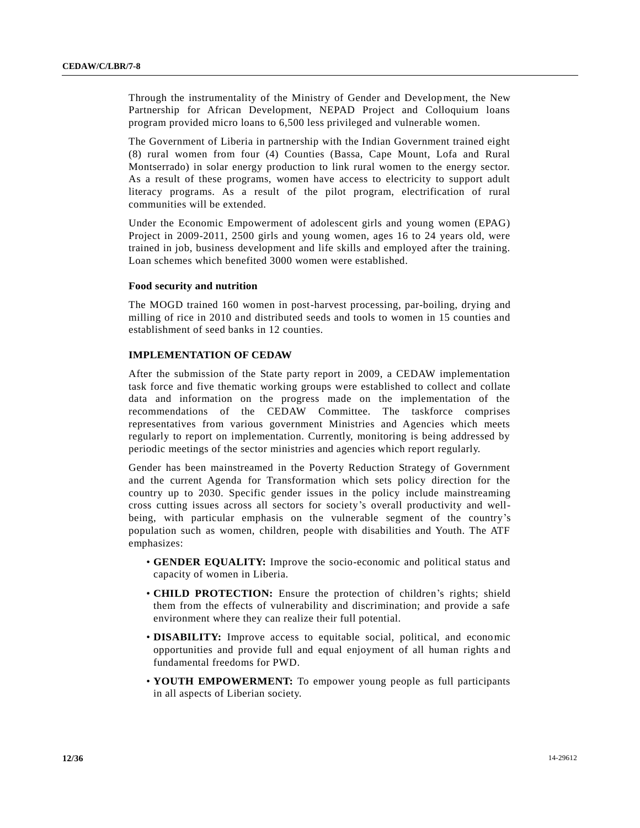Through the instrumentality of the Ministry of Gender and Development, the New Partnership for African Development, NEPAD Project and Colloquium loans program provided micro loans to 6,500 less privileged and vulnerable women.

The Government of Liberia in partnership with the Indian Government trained eight (8) rural women from four (4) Counties (Bassa, Cape Mount, Lofa and Rural Montserrado) in solar energy production to link rural women to the energy sector. As a result of these programs, women have access to electricity to support adult literacy programs. As a result of the pilot program, electrification of rural communities will be extended.

Under the Economic Empowerment of adolescent girls and young women (EPAG) Project in 2009-2011, 2500 girls and young women, ages 16 to 24 years old, were trained in job, business development and life skills and employed after the training. Loan schemes which benefited 3000 women were established.

#### **Food security and nutrition**

The MOGD trained 160 women in post-harvest processing, par-boiling, drying and milling of rice in 2010 and distributed seeds and tools to women in 15 counties and establishment of seed banks in 12 counties.

## **IMPLEMENTATION OF CEDAW**

After the submission of the State party report in 2009, a CEDAW implementation task force and five thematic working groups were established to collect and collate data and information on the progress made on the implementation of the recommendations of the CEDAW Committee. The taskforce comprises representatives from various government Ministries and Agencies which meets regularly to report on implementation. Currently, monitoring is being addressed by periodic meetings of the sector ministries and agencies which report regularly.

Gender has been mainstreamed in the Poverty Reduction Strategy of Government and the current Agenda for Transformation which sets policy direction for the country up to 2030. Specific gender issues in the policy include mainstreaming cross cutting issues across all sectors for society's overall productivity and wellbeing, with particular emphasis on the vulnerable segment of the country's population such as women, children, people with disabilities and Youth. The ATF emphasizes:

- **GENDER EQUALITY:** Improve the socio-economic and political status and capacity of women in Liberia.
- **CHILD PROTECTION:** Ensure the protection of children's rights; shield them from the effects of vulnerability and discrimination; and provide a safe environment where they can realize their full potential.
- **DISABILITY:** Improve access to equitable social, political, and economic opportunities and provide full and equal enjoyment of all human rights and fundamental freedoms for PWD.
- **YOUTH EMPOWERMENT:** To empower young people as full participants in all aspects of Liberian society.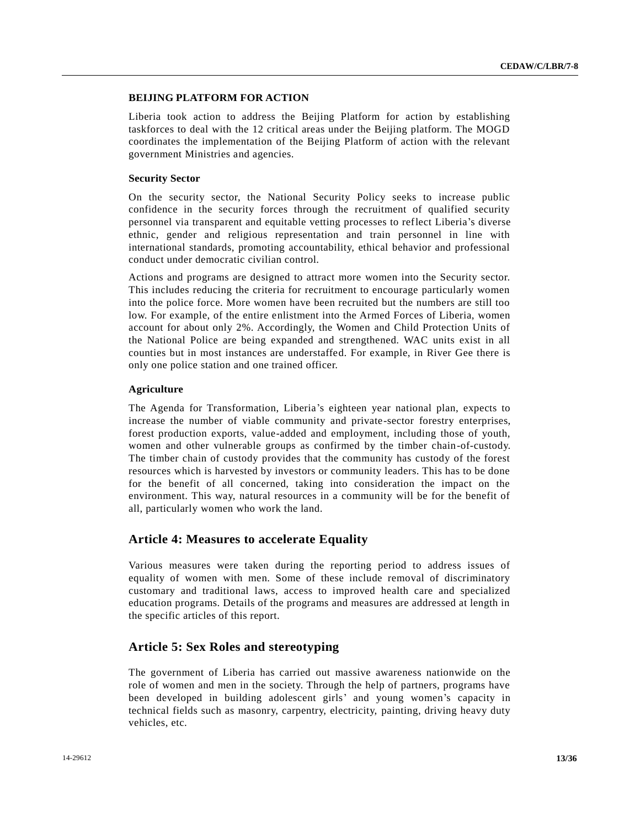## **BEIJING PLATFORM FOR ACTION**

Liberia took action to address the Beijing Platform for action by establishing taskforces to deal with the 12 critical areas under the Beijing platform. The MOGD coordinates the implementation of the Beijing Platform of action with the relevant government Ministries and agencies.

## **Security Sector**

On the security sector, the National Security Policy seeks to increase public confidence in the security forces through the recruitment of qualified security personnel via transparent and equitable vetting processes to reflect Liberia's diverse ethnic, gender and religious representation and train personnel in line with international standards, promoting accountability, ethical behavior and professional conduct under democratic civilian control.

Actions and programs are designed to attract more women into the Security sector. This includes reducing the criteria for recruitment to encourage particularly women into the police force. More women have been recruited but the numbers are still too low. For example, of the entire enlistment into the Armed Forces of Liberia, women account for about only 2%. Accordingly, the Women and Child Protection Units of the National Police are being expanded and strengthened. WAC units exist in all counties but in most instances are understaffed. For example, in River Gee there is only one police station and one trained officer.

## **Agriculture**

The Agenda for Transformation, Liberia's eighteen year national plan, expects to increase the number of viable community and private-sector forestry enterprises, forest production exports, value-added and employment, including those of youth, women and other vulnerable groups as confirmed by the timber chain-of-custody. The timber chain of custody provides that the community has custody of the forest resources which is harvested by investors or community leaders. This has to be done for the benefit of all concerned, taking into consideration the impact on the environment. This way, natural resources in a community will be for the benefit of all, particularly women who work the land.

## **Article 4: Measures to accelerate Equality**

Various measures were taken during the reporting period to address issues of equality of women with men. Some of these include removal of discriminatory customary and traditional laws, access to improved health care and specialized education programs. Details of the programs and measures are addressed at length in the specific articles of this report.

## **Article 5: Sex Roles and stereotyping**

The government of Liberia has carried out massive awareness nationwide on the role of women and men in the society. Through the help of partners, programs have been developed in building adolescent girls' and young women's capacity in technical fields such as masonry, carpentry, electricity, painting, driving heavy duty vehicles, etc.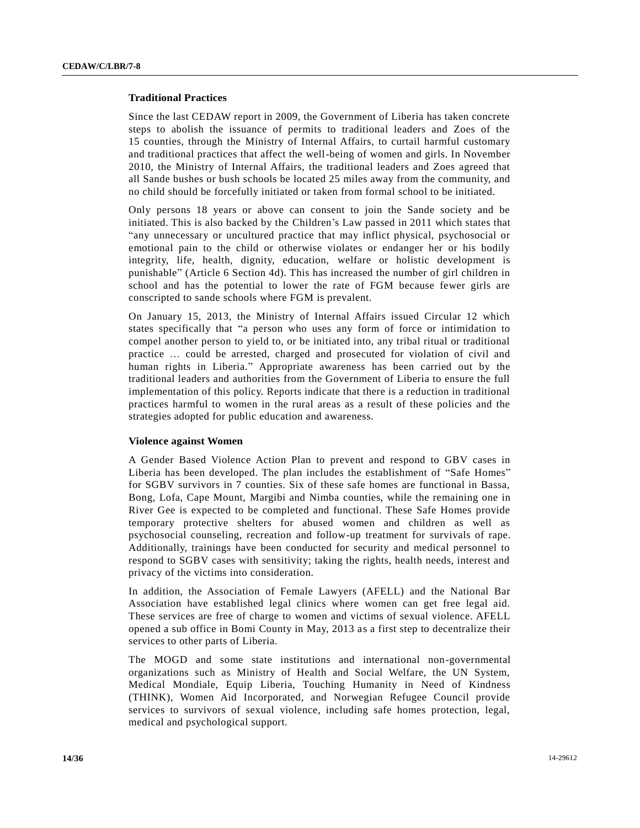### **Traditional Practices**

Since the last CEDAW report in 2009, the Government of Liberia has taken concrete steps to abolish the issuance of permits to traditional leaders and Zoes of the 15 counties, through the Ministry of Internal Affairs, to curtail harmful customary and traditional practices that affect the well-being of women and girls. In November 2010, the Ministry of Internal Affairs, the traditional leaders and Zoes agreed that all Sande bushes or bush schools be located 25 miles away from the community, and no child should be forcefully initiated or taken from formal school to be initiated.

Only persons 18 years or above can consent to join the Sande society and be initiated. This is also backed by the Children's Law passed in 2011 which states that "any unnecessary or uncultured practice that may inflict physical, psychosocial or emotional pain to the child or otherwise violates or endanger her or his bodily integrity, life, health, dignity, education, welfare or holistic development is punishable" (Article 6 Section 4d). This has increased the number of girl children in school and has the potential to lower the rate of FGM because fewer girls are conscripted to sande schools where FGM is prevalent.

On January 15, 2013, the Ministry of Internal Affairs issued Circular 12 which states specifically that "a person who uses any form of force or intimidation to compel another person to yield to, or be initiated into, any tribal ritual or traditional practice … could be arrested, charged and prosecuted for violation of civil and human rights in Liberia." Appropriate awareness has been carried out by the traditional leaders and authorities from the Government of Liberia to ensure the full implementation of this policy. Reports indicate that there is a reduction in traditional practices harmful to women in the rural areas as a result of these policies and the strategies adopted for public education and awareness.

#### **Violence against Women**

A Gender Based Violence Action Plan to prevent and respond to GBV cases in Liberia has been developed. The plan includes the establishment of "Safe Homes" for SGBV survivors in 7 counties. Six of these safe homes are functional in Bassa, Bong, Lofa, Cape Mount, Margibi and Nimba counties, while the remaining one in River Gee is expected to be completed and functional. These Safe Homes provide temporary protective shelters for abused women and children as well as psychosocial counseling, recreation and follow-up treatment for survivals of rape. Additionally, trainings have been conducted for security and medical personnel to respond to SGBV cases with sensitivity; taking the rights, health needs, interest and privacy of the victims into consideration.

In addition, the Association of Female Lawyers (AFELL) and the National Bar Association have established legal clinics where women can get free legal aid. These services are free of charge to women and victims of sexual violence. AFELL opened a sub office in Bomi County in May, 2013 as a first step to decentralize their services to other parts of Liberia.

The MOGD and some state institutions and international non-governmental organizations such as Ministry of Health and Social Welfare, the UN System, Medical Mondiale, Equip Liberia, Touching Humanity in Need of Kindness (THINK), Women Aid Incorporated, and Norwegian Refugee Council provide services to survivors of sexual violence, including safe homes protection, legal, medical and psychological support.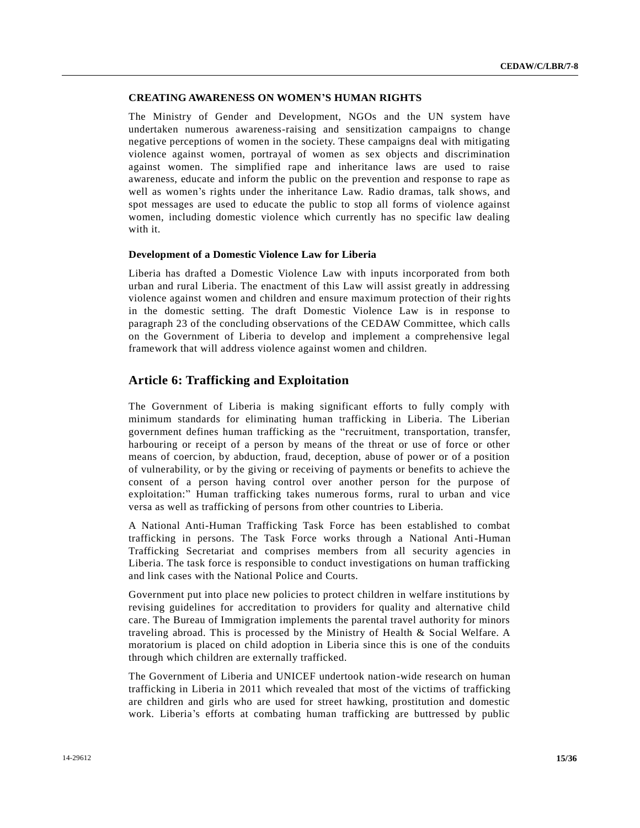## **CREATING AWARENESS ON WOMEN'S HUMAN RIGHTS**

The Ministry of Gender and Development, NGOs and the UN system have undertaken numerous awareness-raising and sensitization campaigns to change negative perceptions of women in the society. These campaigns deal with mitigating violence against women, portrayal of women as sex objects and discrimination against women. The simplified rape and inheritance laws are used to raise awareness, educate and inform the public on the prevention and response to rape as well as women's rights under the inheritance Law. Radio dramas, talk shows, and spot messages are used to educate the public to stop all forms of violence against women, including domestic violence which currently has no specific law dealing with it.

#### **Development of a Domestic Violence Law for Liberia**

Liberia has drafted a Domestic Violence Law with inputs incorporated from both urban and rural Liberia. The enactment of this Law will assist greatly in addressing violence against women and children and ensure maximum protection of their rig hts in the domestic setting. The draft Domestic Violence Law is in response to paragraph 23 of the concluding observations of the CEDAW Committee, which calls on the Government of Liberia to develop and implement a comprehensive legal framework that will address violence against women and children.

## **Article 6: Trafficking and Exploitation**

The Government of Liberia is making significant efforts to fully comply with minimum standards for eliminating human trafficking in Liberia. The Liberian government defines human trafficking as the "recruitment, transportation, transfer, harbouring or receipt of a person by means of the threat or use of force or other means of coercion, by abduction, fraud, deception, abuse of power or of a position of vulnerability, or by the giving or receiving of payments or benefits to achieve the consent of a person having control over another person for the purpose of exploitation:" Human trafficking takes numerous forms, rural to urban and vice versa as well as trafficking of persons from other countries to Liberia.

A National Anti-Human Trafficking Task Force has been established to combat trafficking in persons. The Task Force works through a National Anti-Human Trafficking Secretariat and comprises members from all security agencies in Liberia. The task force is responsible to conduct investigations on human trafficking and link cases with the National Police and Courts.

Government put into place new policies to protect children in welfare institutions by revising guidelines for accreditation to providers for quality and alternative child care. The Bureau of Immigration implements the parental travel authority for minors traveling abroad. This is processed by the Ministry of Health & Social Welfare. A moratorium is placed on child adoption in Liberia since this is one of the conduits through which children are externally trafficked.

The Government of Liberia and UNICEF undertook nation-wide research on human trafficking in Liberia in 2011 which revealed that most of the victims of trafficking are children and girls who are used for street hawking, prostitution and domestic work. Liberia's efforts at combating human trafficking are buttressed by public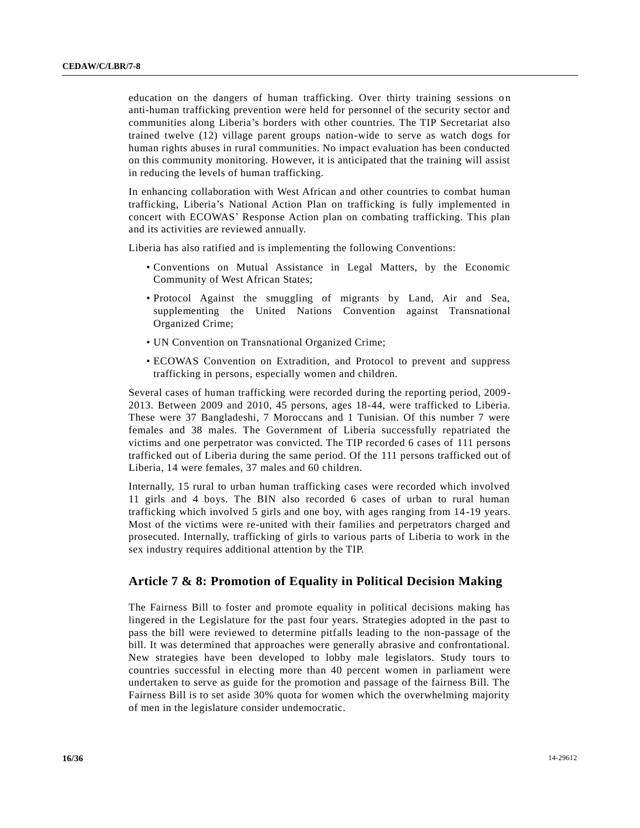education on the dangers of human trafficking. Over thirty training sessions on anti-human trafficking prevention were held for personnel of the security sector and communities along Liberia's borders with other countries. The TIP Secretariat also trained twelve (12) village parent groups nation-wide to serve as watch dogs for human rights abuses in rural communities. No impact evaluation has been conducted on this community monitoring. However, it is anticipated that the training will assist in reducing the levels of human trafficking.

In enhancing collaboration with West African and other countries to combat human trafficking, Liberia's National Action Plan on trafficking is fully implemented in concert with ECOWAS' Response Action plan on combating trafficking. This plan and its activities are reviewed annually.

Liberia has also ratified and is implementing the following Conventions:

- Conventions on Mutual Assistance in Legal Matters, by the Economic Community of West African States;
- Protocol Against the smuggling of migrants by Land, Air and Sea, supplementing the United Nations Convention against Transnational Organized Crime;
- UN Convention on Transnational Organized Crime;
- ECOWAS Convention on Extradition, and Protocol to prevent and suppress trafficking in persons, especially women and children.

Several cases of human trafficking were recorded during the reporting period, 2009- 2013. Between 2009 and 2010, 45 persons, ages 18-44, were trafficked to Liberia. These were 37 Bangladeshi, 7 Moroccans and 1 Tunisian. Of this number 7 were females and 38 males. The Government of Liberia successfully repatriated the victims and one perpetrator was convicted. The TIP recorded 6 cases of 111 persons trafficked out of Liberia during the same period. Of the 111 persons trafficked out of Liberia, 14 were females, 37 males and 60 children.

Internally, 15 rural to urban human trafficking cases were recorded which involved 11 girls and 4 boys. The BIN also recorded 6 cases of urban to rural human trafficking which involved 5 girls and one boy, with ages ranging from 14 -19 years. Most of the victims were re-united with their families and perpetrators charged and prosecuted. Internally, trafficking of girls to various parts of Liberia to work in the sex industry requires additional attention by the TIP.

## **Article 7 & 8: Promotion of Equality in Political Decision Making**

The Fairness Bill to foster and promote equality in political decisions making has lingered in the Legislature for the past four years. Strategies adopted in the past to pass the bill were reviewed to determine pitfalls leading to the non-passage of the bill. It was determined that approaches were generally abrasive and confrontational. New strategies have been developed to lobby male legislators. Study tours to countries successful in electing more than 40 percent women in parliament were undertaken to serve as guide for the promotion and passage of the fairness Bill. The Fairness Bill is to set aside 30% quota for women which the overwhelming majority of men in the legislature consider undemocratic.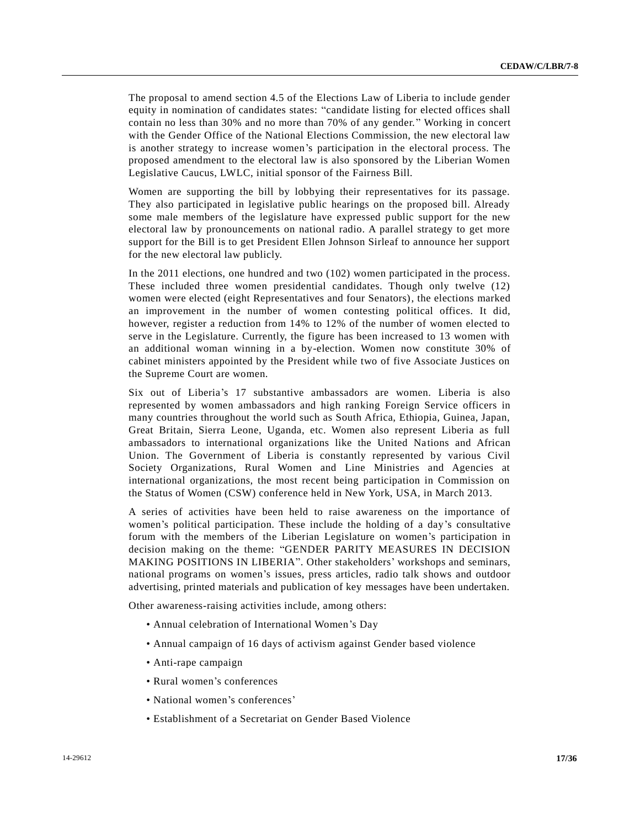The proposal to amend section 4.5 of the Elections Law of Liberia to include gender equity in nomination of candidates states: "candidate listing for elected offices shall contain no less than 30% and no more than 70% of any gender." Working in concert with the Gender Office of the National Elections Commission, the new electoral law is another strategy to increase women's participation in the electoral process. The proposed amendment to the electoral law is also sponsored by the Liberian Women Legislative Caucus, LWLC, initial sponsor of the Fairness Bill.

Women are supporting the bill by lobbying their representatives for its passage. They also participated in legislative public hearings on the proposed bill. Already some male members of the legislature have expressed public support for the new electoral law by pronouncements on national radio. A parallel strategy to get more support for the Bill is to get President Ellen Johnson Sirleaf to announce her support for the new electoral law publicly.

In the 2011 elections, one hundred and two (102) women participated in the process. These included three women presidential candidates. Though only twelve (12) women were elected (eight Representatives and four Senators), the elections marked an improvement in the number of women contesting political offices. It did, however, register a reduction from 14% to 12% of the number of women elected to serve in the Legislature. Currently, the figure has been increased to 13 women with an additional woman winning in a by-election. Women now constitute 30% of cabinet ministers appointed by the President while two of five Associate Justices on the Supreme Court are women.

Six out of Liberia's 17 substantive ambassadors are women. Liberia is also represented by women ambassadors and high ranking Foreign Service officers in many countries throughout the world such as South Africa, Ethiopia, Guinea, Japan, Great Britain, Sierra Leone, Uganda, etc. Women also represent Liberia as full ambassadors to international organizations like the United Nations and African Union. The Government of Liberia is constantly represented by various Civil Society Organizations, Rural Women and Line Ministries and Agencies at international organizations, the most recent being participation in Commission on the Status of Women (CSW) conference held in New York, USA, in March 2013.

A series of activities have been held to raise awareness on the importance of women's political participation. These include the holding of a day's consultative forum with the members of the Liberian Legislature on women's participation in decision making on the theme: "GENDER PARITY MEASURES IN DECISION MAKING POSITIONS IN LIBERIA". Other stakeholders' workshops and seminars, national programs on women's issues, press articles, radio talk shows and outdoor advertising, printed materials and publication of key messages have been undertaken.

Other awareness-raising activities include, among others:

- Annual celebration of International Women's Day
- Annual campaign of 16 days of activism against Gender based violence
- Anti-rape campaign
- Rural women's conferences
- National women's conferences'
- Establishment of a Secretariat on Gender Based Violence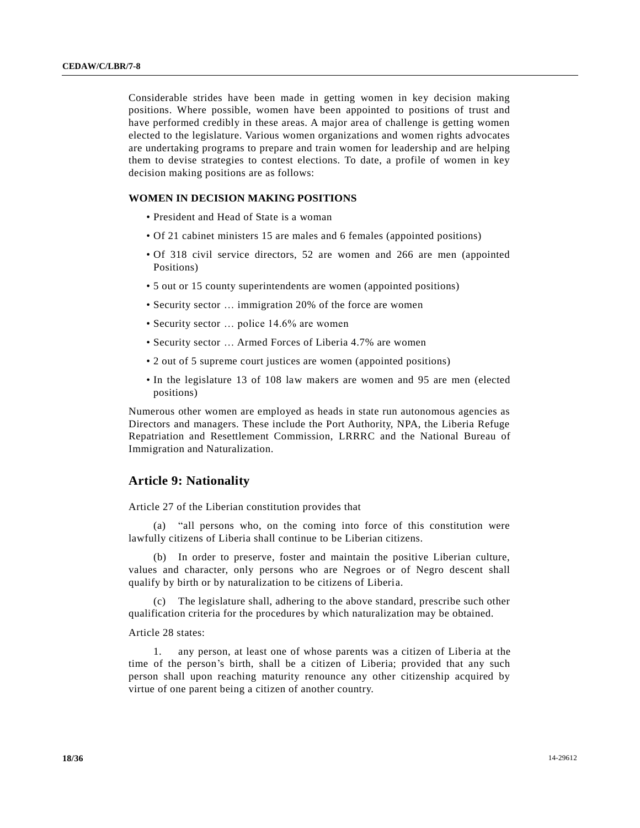Considerable strides have been made in getting women in key decision making positions. Where possible, women have been appointed to positions of trust and have performed credibly in these areas. A major area of challenge is getting women elected to the legislature. Various women organizations and women rights advocates are undertaking programs to prepare and train women for leadership and are helping them to devise strategies to contest elections. To date, a profile of women in key decision making positions are as follows:

#### **WOMEN IN DECISION MAKING POSITIONS**

- President and Head of State is a woman
- Of 21 cabinet ministers 15 are males and 6 females (appointed positions)
- Of 318 civil service directors, 52 are women and 266 are men (appointed Positions)
- 5 out or 15 county superintendents are women (appointed positions)
- Security sector … immigration 20% of the force are women
- Security sector ... police 14.6% are women
- Security sector … Armed Forces of Liberia 4.7% are women
- 2 out of 5 supreme court justices are women (appointed positions)
- In the legislature 13 of 108 law makers are women and 95 are men (elected positions)

Numerous other women are employed as heads in state run autonomous agencies as Directors and managers. These include the Port Authority, NPA, the Liberia Refuge Repatriation and Resettlement Commission, LRRRC and the National Bureau of Immigration and Naturalization.

## **Article 9: Nationality**

Article 27 of the Liberian constitution provides that

(a) "all persons who, on the coming into force of this constitution were lawfully citizens of Liberia shall continue to be Liberian citizens.

(b) In order to preserve, foster and maintain the positive Liberian culture, values and character, only persons who are Negroes or of Negro descent shall qualify by birth or by naturalization to be citizens of Liberia.

(c) The legislature shall, adhering to the above standard, prescribe such other qualification criteria for the procedures by which naturalization may be obtained.

Article 28 states:

1. any person, at least one of whose parents was a citizen of Liberia at the time of the person's birth, shall be a citizen of Liberia; provided that any such person shall upon reaching maturity renounce any other citizenship acquired by virtue of one parent being a citizen of another country.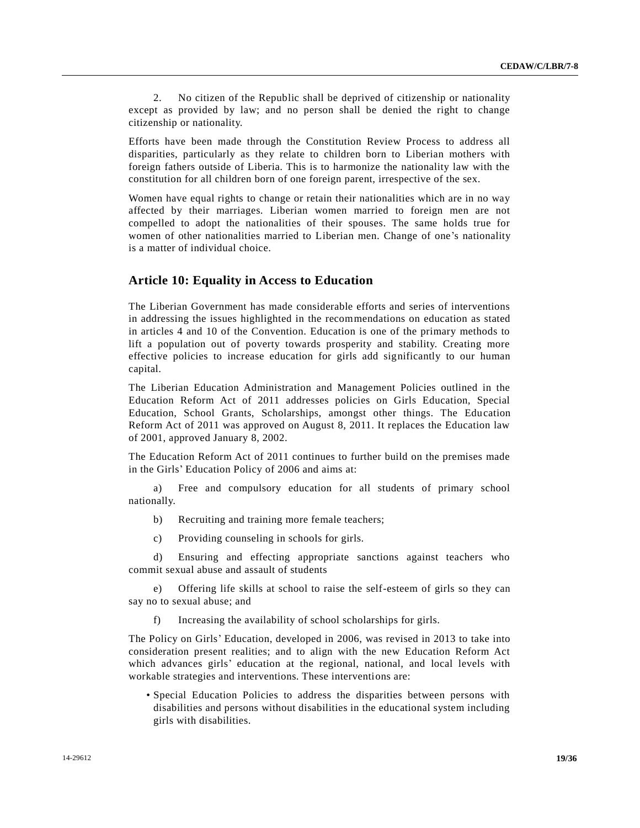2. No citizen of the Republic shall be deprived of citizenship or nationality except as provided by law; and no person shall be denied the right to change citizenship or nationality.

Efforts have been made through the Constitution Review Process to address all disparities, particularly as they relate to children born to Liberian mothers with foreign fathers outside of Liberia. This is to harmonize the nationality law with the constitution for all children born of one foreign parent, irrespective of the sex.

Women have equal rights to change or retain their nationalities which are in no way affected by their marriages. Liberian women married to foreign men are not compelled to adopt the nationalities of their spouses. The same holds true for women of other nationalities married to Liberian men. Change of one's nationality is a matter of individual choice.

## **Article 10: Equality in Access to Education**

The Liberian Government has made considerable efforts and series of interventions in addressing the issues highlighted in the recommendations on education as stated in articles 4 and 10 of the Convention. Education is one of the primary methods to lift a population out of poverty towards prosperity and stability. Creating more effective policies to increase education for girls add significantly to our human capital.

The Liberian Education Administration and Management Policies outlined in the Education Reform Act of 2011 addresses policies on Girls Education, Special Education, School Grants, Scholarships, amongst other things. The Education Reform Act of 2011 was approved on August 8, 2011. It replaces the Education law of 2001, approved January 8, 2002.

The Education Reform Act of 2011 continues to further build on the premises made in the Girls' Education Policy of 2006 and aims at:

a) Free and compulsory education for all students of primary school nationally.

b) Recruiting and training more female teachers;

c) Providing counseling in schools for girls.

d) Ensuring and effecting appropriate sanctions against teachers who commit sexual abuse and assault of students

e) Offering life skills at school to raise the self-esteem of girls so they can say no to sexual abuse; and

f) Increasing the availability of school scholarships for girls.

The Policy on Girls' Education, developed in 2006, was revised in 2013 to take into consideration present realities; and to align with the new Education Reform Act which advances girls' education at the regional, national, and local levels with workable strategies and interventions. These interventions are:

• Special Education Policies to address the disparities between persons with disabilities and persons without disabilities in the educational system including girls with disabilities.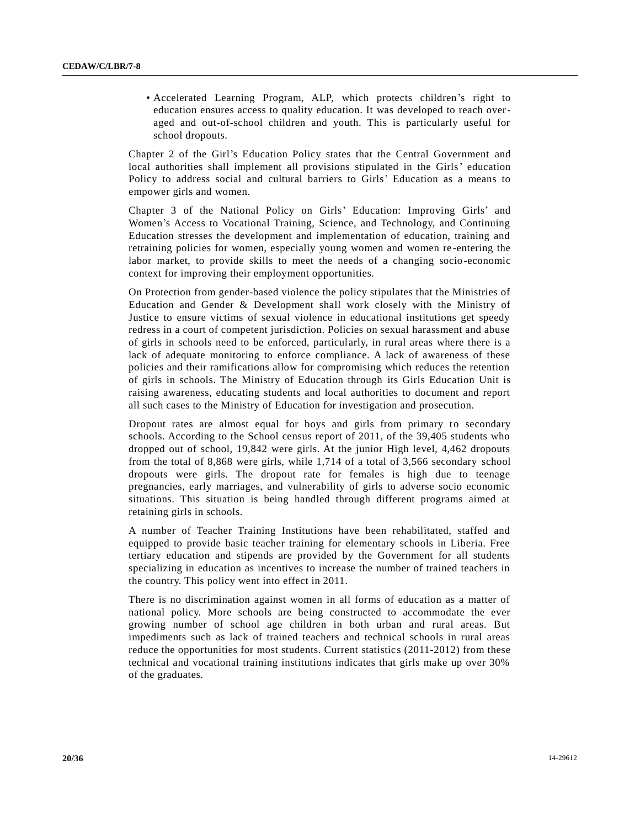• Accelerated Learning Program, ALP, which protects children's right to education ensures access to quality education. It was developed to reach overaged and out-of-school children and youth. This is particularly useful for school dropouts.

Chapter 2 of the Girl's Education Policy states that the Central Government and local authorities shall implement all provisions stipulated in the Girls' education Policy to address social and cultural barriers to Girls' Education as a means to empower girls and women.

Chapter 3 of the National Policy on Girls' Education: Improving Girls' and Women's Access to Vocational Training, Science, and Technology, and Continuing Education stresses the development and implementation of education, training and retraining policies for women, especially young women and women re -entering the labor market, to provide skills to meet the needs of a changing socio-economic context for improving their employment opportunities.

On Protection from gender-based violence the policy stipulates that the Ministries of Education and Gender & Development shall work closely with the Ministry of Justice to ensure victims of sexual violence in educational institutions get speedy redress in a court of competent jurisdiction. Policies on sexual harassment and abuse of girls in schools need to be enforced, particularly, in rural areas where there is a lack of adequate monitoring to enforce compliance. A lack of awareness of these policies and their ramifications allow for compromising which reduces the retention of girls in schools. The Ministry of Education through its Girls Education Unit is raising awareness, educating students and local authorities to document and report all such cases to the Ministry of Education for investigation and prosecution.

Dropout rates are almost equal for boys and girls from primary to secondary schools. According to the School census report of 2011, of the 39,405 students who dropped out of school, 19,842 were girls. At the junior High level, 4,462 dropouts from the total of 8,868 were girls, while 1,714 of a total of 3,566 secondary school dropouts were girls. The dropout rate for females is high due to teenage pregnancies, early marriages, and vulnerability of girls to adverse socio economic situations. This situation is being handled through different programs aimed at retaining girls in schools.

A number of Teacher Training Institutions have been rehabilitated, staffed and equipped to provide basic teacher training for elementary schools in Liberia. Free tertiary education and stipends are provided by the Government for all students specializing in education as incentives to increase the number of trained teachers in the country. This policy went into effect in 2011.

There is no discrimination against women in all forms of education as a matter of national policy. More schools are being constructed to accommodate the ever growing number of school age children in both urban and rural areas. But impediments such as lack of trained teachers and technical schools in rural areas reduce the opportunities for most students. Current statistics (2011-2012) from these technical and vocational training institutions indicates that girls make up over 30% of the graduates.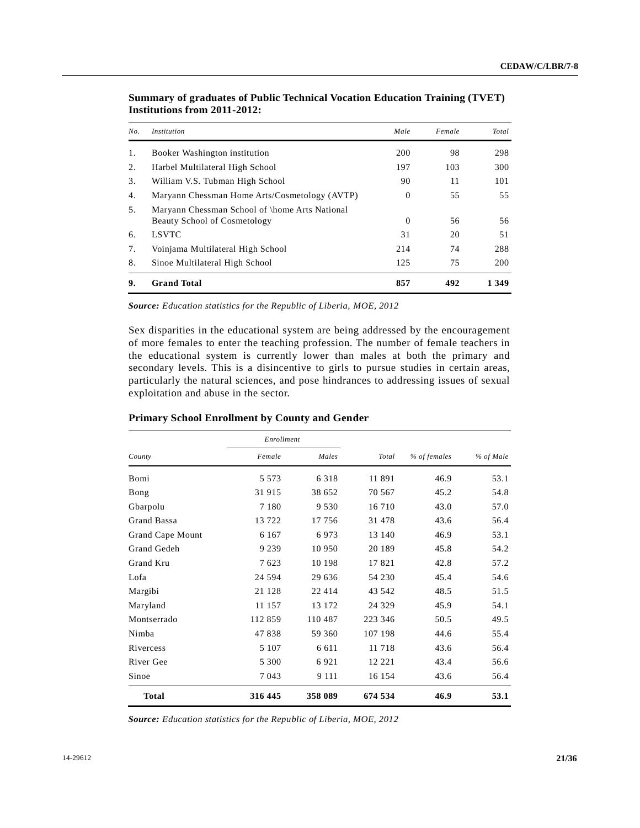| No. | <i>Institution</i>                                                                    | Male     | Female | Total |
|-----|---------------------------------------------------------------------------------------|----------|--------|-------|
| 1.  | Booker Washington institution                                                         | 200      | 98     | 298   |
| 2.  | Harbel Multilateral High School                                                       | 197      | 103    | 300   |
| 3.  | William V.S. Tubman High School                                                       | 90       | 11     | 101   |
| 4.  | Maryann Chessman Home Arts/Cosmetology (AVTP)                                         | $\Omega$ | 55     | 55    |
| 5.  | Maryann Chessman School of \home Arts National<br><b>Beauty School of Cosmetology</b> | $\theta$ | 56     | 56    |
| 6.  | <b>LSVTC</b>                                                                          | 31       | 20     | 51    |
| 7.  | Voinjama Multilateral High School                                                     | 214      | 74     | 288   |
| 8.  | Sinoe Multilateral High School                                                        | 125      | 75     | 200   |
| 9.  | <b>Grand Total</b>                                                                    | 857      | 492    | 1 349 |

**Summary of graduates of Public Technical Vocation Education Training (TVET) Institutions from 2011-2012:**

*Source: Education statistics for the Republic of Liberia, MOE, 2012*

Sex disparities in the educational system are being addressed by the encouragement of more females to enter the teaching profession. The number of female teachers in the educational system is currently lower than males at both the primary and secondary levels. This is a disincentive to girls to pursue studies in certain areas, particularly the natural sciences, and pose hindrances to addressing issues of sexual exploitation and abuse in the sector.

| <b>Primary School Enrollment by County and Gender</b> |  |
|-------------------------------------------------------|--|
|-------------------------------------------------------|--|

|                  | Enrollment |         |         |              |           |  |
|------------------|------------|---------|---------|--------------|-----------|--|
| County           | Female     | Males   | Total   | % of females | % of Male |  |
| Bomi             | 5 5 7 3    | 6 3 1 8 | 11 891  | 46.9         | 53.1      |  |
| Bong             | 31 915     | 38 652  | 70 567  | 45.2         | 54.8      |  |
| Gbarpolu         | 7 1 8 0    | 9 5 3 0 | 16 710  | 43.0         | 57.0      |  |
| Grand Bassa      | 13 722     | 17 756  | 31 478  | 43.6         | 56.4      |  |
| Grand Cape Mount | 6 1 6 7    | 6973    | 13 140  | 46.9         | 53.1      |  |
| Grand Gedeh      | 9 2 3 9    | 10 950  | 20 189  | 45.8         | 54.2      |  |
| Grand Kru        | 7623       | 10 198  | 17821   | 42.8         | 57.2      |  |
| Lofa             | 24 5 94    | 29 636  | 54 230  | 45.4         | 54.6      |  |
| Margibi          | 21 128     | 22 4 14 | 43 542  | 48.5         | 51.5      |  |
| Maryland         | 11 157     | 13 172  | 24 3 29 | 45.9         | 54.1      |  |
| Montserrado      | 112 859    | 110 487 | 223 346 | 50.5         | 49.5      |  |
| Nimba            | 47838      | 59 360  | 107 198 | 44.6         | 55.4      |  |
| Rivercess        | 5 1 0 7    | 6 6 1 1 | 11 718  | 43.6         | 56.4      |  |
| River Gee        | 5 300      | 6921    | 12 22 1 | 43.4         | 56.6      |  |
| Sinoe            | 7 0 4 3    | 9 1 1 1 | 16 154  | 43.6         | 56.4      |  |
| <b>Total</b>     | 316 445    | 358 089 | 674 534 | 46.9         | 53.1      |  |

*Source: Education statistics for the Republic of Liberia, MOE, 2012*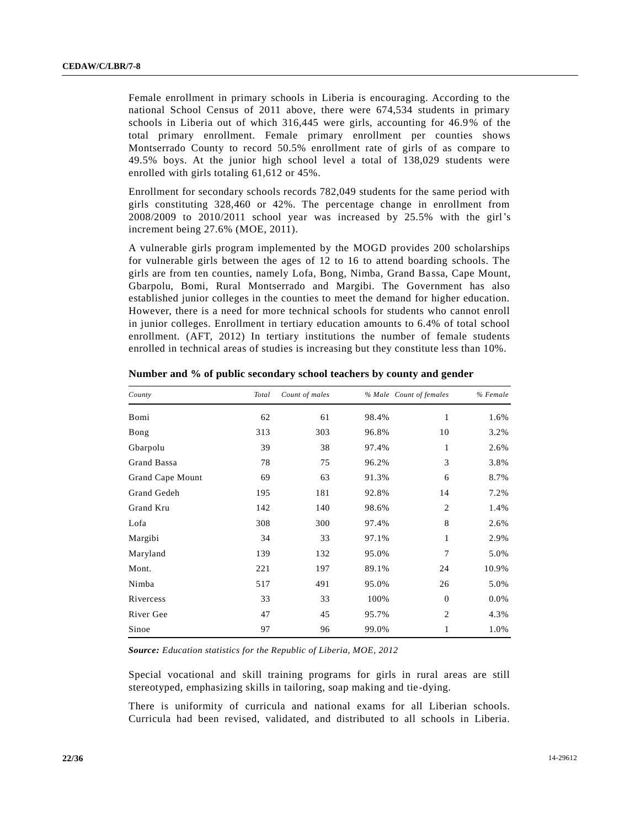Female enrollment in primary schools in Liberia is encouraging. According to the national School Census of 2011 above, there were 674,534 students in primary schools in Liberia out of which 316,445 were girls, accounting for 46.9% of the total primary enrollment. Female primary enrollment per counties shows Montserrado County to record 50.5% enrollment rate of girls of as compare to 49.5% boys. At the junior high school level a total of 138,029 students were enrolled with girls totaling 61,612 or 45%.

Enrollment for secondary schools records 782,049 students for the same period with girls constituting 328,460 or 42%. The percentage change in enrollment from 2008/2009 to 2010/2011 school year was increased by 25.5% with the girl's increment being 27.6% (MOE, 2011).

A vulnerable girls program implemented by the MOGD provides 200 scholarships for vulnerable girls between the ages of 12 to 16 to attend boarding schools. The girls are from ten counties, namely Lofa, Bong, Nimba, Grand Bassa, Cape Mount, Gbarpolu, Bomi, Rural Montserrado and Margibi. The Government has also established junior colleges in the counties to meet the demand for higher education. However, there is a need for more technical schools for students who cannot enroll in junior colleges. Enrollment in tertiary education amounts to 6.4% of total school enrollment. (AFT, 2012) In tertiary institutions the number of female students enrolled in technical areas of studies is increasing but they constitute less than 10%.

| County           | Total | Count of males |       | % Male Count of females | % Female |
|------------------|-------|----------------|-------|-------------------------|----------|
| Bomi             | 62    | 61             | 98.4% | 1                       | 1.6%     |
| Bong             | 313   | 303            | 96.8% | 10                      | 3.2%     |
| Gbarpolu         | 39    | 38             | 97.4% | 1                       | 2.6%     |
| Grand Bassa      | 78    | 75             | 96.2% | 3                       | 3.8%     |
| Grand Cape Mount | 69    | 63             | 91.3% | 6                       | 8.7%     |
| Grand Gedeh      | 195   | 181            | 92.8% | 14                      | 7.2%     |
| Grand Kru        | 142   | 140            | 98.6% | $\overline{2}$          | 1.4%     |
| Lofa             | 308   | 300            | 97.4% | 8                       | 2.6%     |
| Margibi          | 34    | 33             | 97.1% | 1                       | 2.9%     |
| Maryland         | 139   | 132            | 95.0% | 7                       | 5.0%     |
| Mont.            | 221   | 197            | 89.1% | 24                      | 10.9%    |
| Nimba            | 517   | 491            | 95.0% | 26                      | 5.0%     |
| Rivercess        | 33    | 33             | 100%  | $\overline{0}$          | 0.0%     |
| River Gee        | 47    | 45             | 95.7% | $\overline{2}$          | 4.3%     |
| Sinoe            | 97    | 96             | 99.0% | 1                       | 1.0%     |

**Number and % of public secondary school teachers by county and gender**

*Source: Education statistics for the Republic of Liberia, MOE, 2012*

Special vocational and skill training programs for girls in rural areas are still stereotyped, emphasizing skills in tailoring, soap making and tie-dying.

There is uniformity of curricula and national exams for all Liberian schools. Curricula had been revised, validated, and distributed to all schools in Liberia.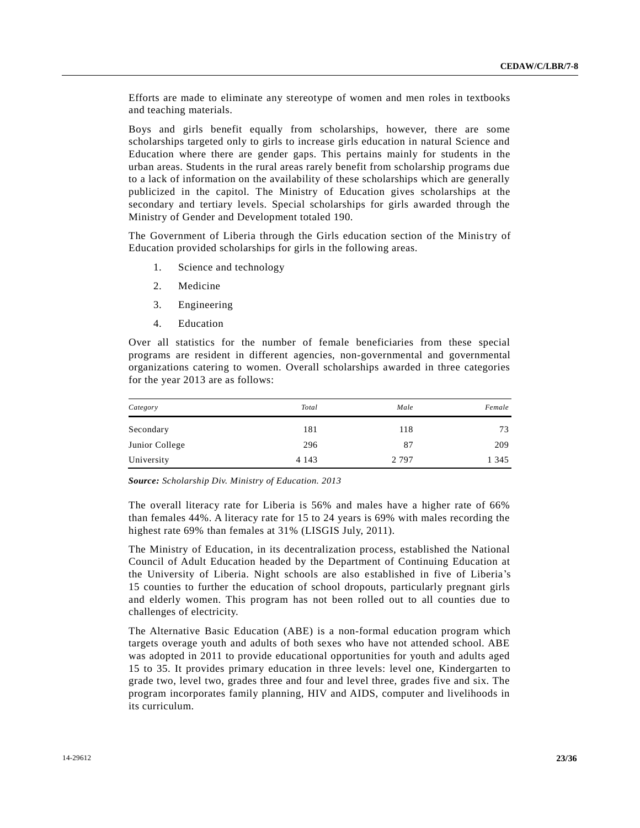Efforts are made to eliminate any stereotype of women and men roles in textbooks and teaching materials.

Boys and girls benefit equally from scholarships, however, there are some scholarships targeted only to girls to increase girls education in natural Science and Education where there are gender gaps. This pertains mainly for students in the urban areas. Students in the rural areas rarely benefit from scholarship programs due to a lack of information on the availability of these scholarships which are generally publicized in the capitol. The Ministry of Education gives scholarships at the secondary and tertiary levels. Special scholarships for girls awarded through the Ministry of Gender and Development totaled 190.

The Government of Liberia through the Girls education section of the Ministry of Education provided scholarships for girls in the following areas.

- 1. Science and technology
- 2. Medicine
- 3. Engineering
- 4. Education

Over all statistics for the number of female beneficiaries from these special programs are resident in different agencies, non-governmental and governmental organizations catering to women. Overall scholarships awarded in three categories for the year 2013 are as follows:

| Category       | Total   | Male    | Female  |
|----------------|---------|---------|---------|
| Secondary      | 181     | 118     | 73      |
| Junior College | 296     | 87      | 209     |
| University     | 4 1 4 3 | 2 7 9 7 | 1 3 4 5 |

*Source: Scholarship Div. Ministry of Education. 2013*

The overall literacy rate for Liberia is 56% and males have a higher rate of 66% than females 44%. A literacy rate for 15 to 24 years is 69% with males recording the highest rate 69% than females at 31% (LISGIS July, 2011).

The Ministry of Education, in its decentralization process, established the National Council of Adult Education headed by the Department of Continuing Education at the University of Liberia. Night schools are also established in five of Liberia's 15 counties to further the education of school dropouts, particularly pregnant girls and elderly women. This program has not been rolled out to all counties due to challenges of electricity.

The Alternative Basic Education (ABE) is a non-formal education program which targets overage youth and adults of both sexes who have not attended school. ABE was adopted in 2011 to provide educational opportunities for youth and adults aged 15 to 35. It provides primary education in three levels: level one, Kindergarten to grade two, level two, grades three and four and level three, grades five and six. The program incorporates family planning, HIV and AIDS, computer and livelihoods in its curriculum.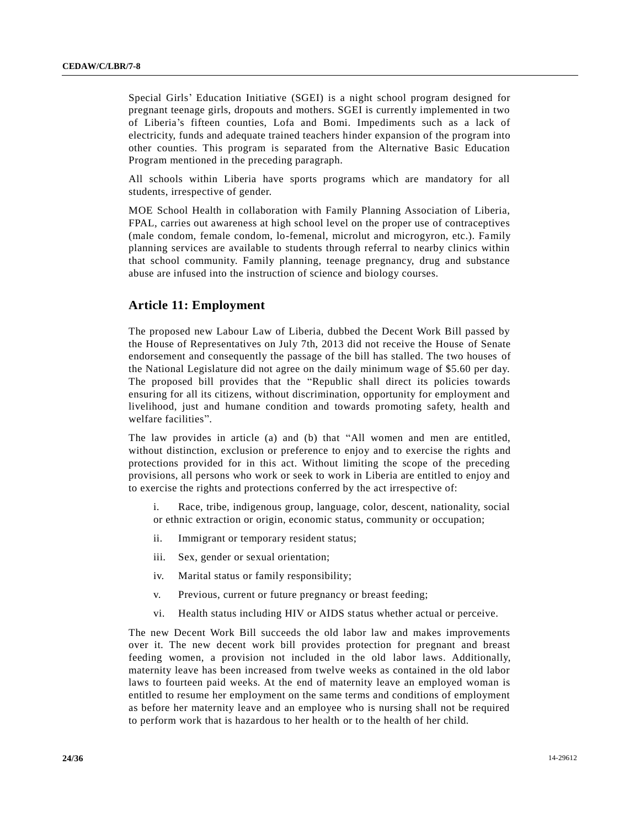Special Girls' Education Initiative (SGEI) is a night school program designed for pregnant teenage girls, dropouts and mothers. SGEI is currently implemented in two of Liberia's fifteen counties, Lofa and Bomi. Impediments such as a lack of electricity, funds and adequate trained teachers hinder expansion of the program into other counties. This program is separated from the Alternative Basic Education Program mentioned in the preceding paragraph.

All schools within Liberia have sports programs which are mandatory for all students, irrespective of gender.

MOE School Health in collaboration with Family Planning Association of Liberia, FPAL, carries out awareness at high school level on the proper use of contraceptives (male condom, female condom, lo-femenal, microlut and microgyron, etc.). Family planning services are available to students through referral to nearby clinics within that school community. Family planning, teenage pregnancy, drug and substance abuse are infused into the instruction of science and biology courses.

## **Article 11: Employment**

The proposed new Labour Law of Liberia, dubbed the Decent Work Bill passed by the House of Representatives on July 7th, 2013 did not receive the House of Senate endorsement and consequently the passage of the bill has stalled. The two houses of the National Legislature did not agree on the daily minimum wage of \$5.60 per day. The proposed bill provides that the "Republic shall direct its policies towards ensuring for all its citizens, without discrimination, opportunity for employment and livelihood, just and humane condition and towards promoting safety, health and welfare facilities".

The law provides in article (a) and (b) that "All women and men are entitled, without distinction, exclusion or preference to enjoy and to exercise the rights and protections provided for in this act. Without limiting the scope of the preceding provisions, all persons who work or seek to work in Liberia are entitled to enjoy and to exercise the rights and protections conferred by the act irrespective of:

i. Race, tribe, indigenous group, language, color, descent, nationality, social or ethnic extraction or origin, economic status, community or occupation;

- ii. Immigrant or temporary resident status;
- iii. Sex, gender or sexual orientation;
- iv. Marital status or family responsibility;
- v. Previous, current or future pregnancy or breast feeding;
- vi. Health status including HIV or AIDS status whether actual or perceive.

The new Decent Work Bill succeeds the old labor law and makes improvements over it. The new decent work bill provides protection for pregnant and breast feeding women, a provision not included in the old labor laws. Additionally, maternity leave has been increased from twelve weeks as contained in the old labor laws to fourteen paid weeks. At the end of maternity leave an employed woman is entitled to resume her employment on the same terms and conditions of employment as before her maternity leave and an employee who is nursing shall not be required to perform work that is hazardous to her health or to the health of her child.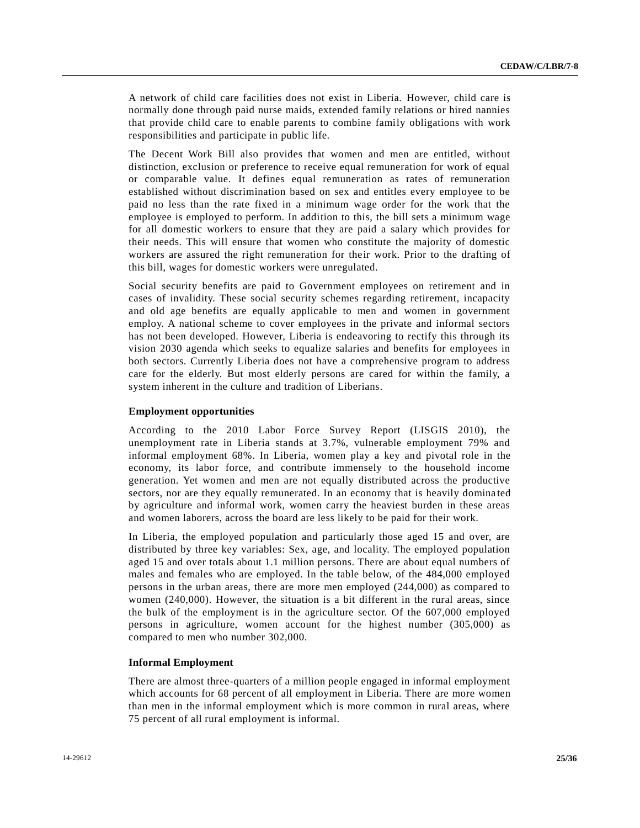A network of child care facilities does not exist in Liberia. However, child care is normally done through paid nurse maids, extended family relations or hired nannies that provide child care to enable parents to combine family obligations with work responsibilities and participate in public life.

The Decent Work Bill also provides that women and men are entitled, without distinction, exclusion or preference to receive equal remuneration for work of equal or comparable value. It defines equal remuneration as rates of remuneration established without discrimination based on sex and entitles every employee to be paid no less than the rate fixed in a minimum wage order for the work that the employee is employed to perform. In addition to this, the bill sets a minimum wage for all domestic workers to ensure that they are paid a salary which provides for their needs. This will ensure that women who constitute the majority of domestic workers are assured the right remuneration for their work. Prior to the drafting of this bill, wages for domestic workers were unregulated.

Social security benefits are paid to Government employees on retirement and in cases of invalidity. These social security schemes regarding retirement, incapacity and old age benefits are equally applicable to men and women in government employ. A national scheme to cover employees in the private and informal sectors has not been developed. However, Liberia is endeavoring to rectify this through its vision 2030 agenda which seeks to equalize salaries and benefits for employees in both sectors. Currently Liberia does not have a comprehensive program to address care for the elderly. But most elderly persons are cared for within the family, a system inherent in the culture and tradition of Liberians.

### **Employment opportunities**

According to the 2010 Labor Force Survey Report (LISGIS 2010), the unemployment rate in Liberia stands at 3.7%, vulnerable employment 79% and informal employment 68%. In Liberia, women play a key and pivotal role in the economy, its labor force, and contribute immensely to the household income generation. Yet women and men are not equally distributed across the productive sectors, nor are they equally remunerated. In an economy that is heavily domina ted by agriculture and informal work, women carry the heaviest burden in these areas and women laborers, across the board are less likely to be paid for their work.

In Liberia, the employed population and particularly those aged 15 and over, are distributed by three key variables: Sex, age, and locality. The employed population aged 15 and over totals about 1.1 million persons. There are about equal numbers of males and females who are employed. In the table below, of the 484,000 employed persons in the urban areas, there are more men employed (244,000) as compared to women (240,000). However, the situation is a bit different in the rural areas, since the bulk of the employment is in the agriculture sector. Of the 607,000 employed persons in agriculture, women account for the highest number (305,000) as compared to men who number 302,000.

#### **Informal Employment**

There are almost three-quarters of a million people engaged in informal employment which accounts for 68 percent of all employment in Liberia. There are more women than men in the informal employment which is more common in rural areas, where 75 percent of all rural employment is informal.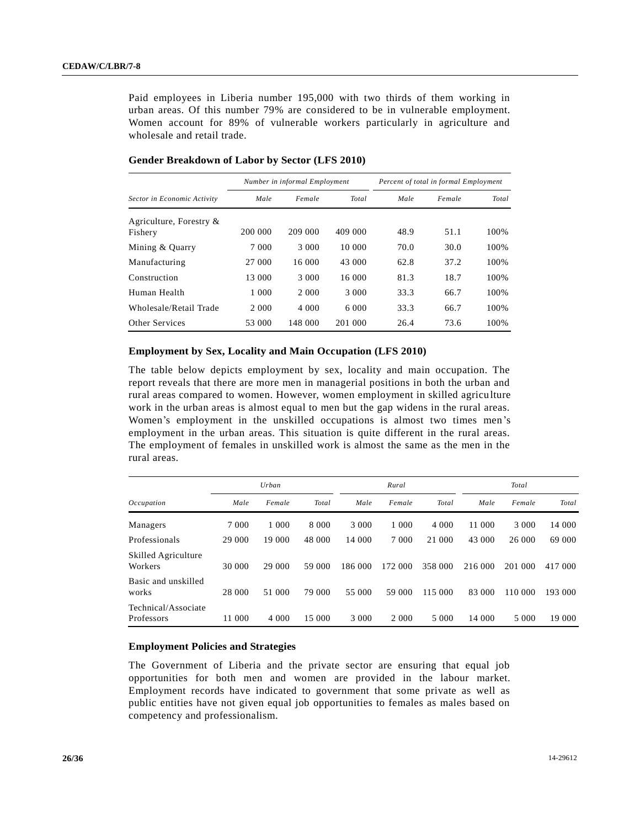Paid employees in Liberia number 195,000 with two thirds of them working in urban areas. Of this number 79% are considered to be in vulnerable employment. Women account for 89% of vulnerable workers particularly in agriculture and wholesale and retail trade.

|                             |         | Number in informal Employment |         | Percent of total in formal Employment |        |       |
|-----------------------------|---------|-------------------------------|---------|---------------------------------------|--------|-------|
| Sector in Economic Activity | Male    | Female                        | Total   | Male                                  | Female | Total |
| Agriculture, Forestry $\&$  |         |                               |         |                                       |        |       |
| Fishery                     | 200 000 | 209 000                       | 409 000 | 48.9                                  | 51.1   | 100%  |
| Mining & Quarry             | 7 0 0 0 | 3 000                         | 10 000  | 70.0                                  | 30.0   | 100%  |
| Manufacturing               | 27 000  | 16 000                        | 43 000  | 62.8                                  | 37.2   | 100%  |
| Construction                | 13 000  | 3 000                         | 16 000  | 81.3                                  | 18.7   | 100%  |
| Human Health                | 1 0 0 0 | 2 0 0 0                       | 3 0 0 0 | 33.3                                  | 66.7   | 100%  |
| Wholesale/Retail Trade      | 2 0 0 0 | 4 0 0 0                       | 6 000   | 33.3                                  | 66.7   | 100%  |
| Other Services              | 53 000  | 148 000                       | 201 000 | 26.4                                  | 73.6   | 100%  |

## **Gender Breakdown of Labor by Sector (LFS 2010)**

## **Employment by Sex, Locality and Main Occupation (LFS 2010)**

The table below depicts employment by sex, locality and main occupation. The report reveals that there are more men in managerial positions in both the urban and rural areas compared to women. However, women employment in skilled agriculture work in the urban areas is almost equal to men but the gap widens in the rural areas. Women's employment in the unskilled occupations is almost two times men's employment in the urban areas. This situation is quite different in the rural areas. The employment of females in unskilled work is almost the same as the men in the rural areas.

|                                   |         | Urban   |         |         | Rural      |         |         | Total   |         |
|-----------------------------------|---------|---------|---------|---------|------------|---------|---------|---------|---------|
| Occupation                        | Male    | Female  | Total   | Male    | Female     | Total   | Male    | Female  | Total   |
| Managers                          | 7 0 0 0 | 1 0 0 0 | 8 0 0 0 | 3 0 0 0 | 1 000      | 4 000   | 11 000  | 3 000   | 14 000  |
| Professionals                     | 29 000  | 19 000  | 48 000  | 14 000  | 7 0 0 0    | 21 000  | 43 000  | 26 000  | 69 000  |
| Skilled Agriculture<br>Workers    | 30 000  | 29 000  | 59 000  | 186 000 | 172<br>000 | 358 000 | 216 000 | 201 000 | 417 000 |
| Basic and unskilled<br>works      | 28 000  | 51 000  | 79 000  | 55 000  | 59 000     | 115 000 | 83 000  | 110 000 | 193 000 |
| Technical/Associate<br>Professors | 11 000  | 4 0 0 0 | 15 000  | 3 000   | 2 0 0 0    | 5 000   | 14 000  | 5 000   | 19 000  |

#### **Employment Policies and Strategies**

The Government of Liberia and the private sector are ensuring that equal job opportunities for both men and women are provided in the labour market. Employment records have indicated to government that some private as well as public entities have not given equal job opportunities to females as males based on competency and professionalism.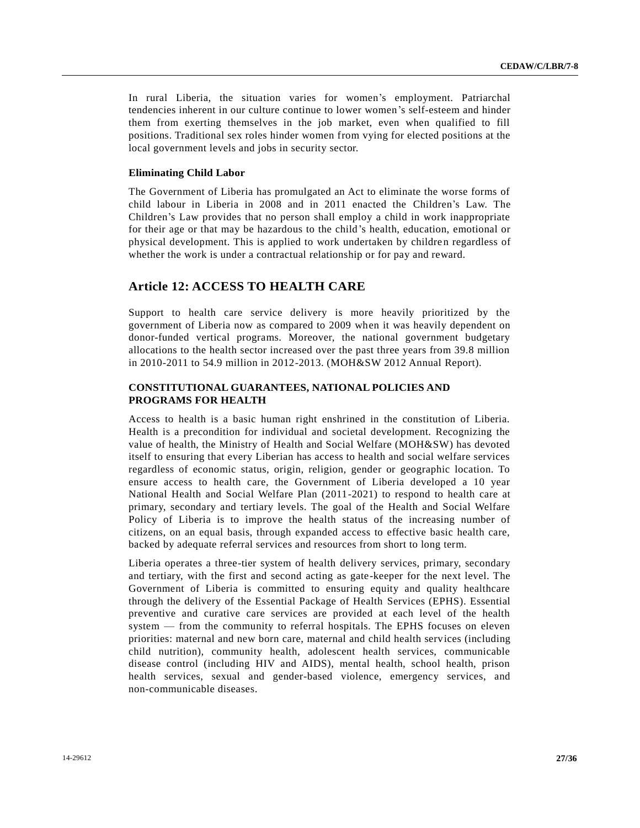In rural Liberia, the situation varies for women's employment. Patriarchal tendencies inherent in our culture continue to lower women's self-esteem and hinder them from exerting themselves in the job market, even when qualified to fill positions. Traditional sex roles hinder women from vying for elected positions at the local government levels and jobs in security sector.

## **Eliminating Child Labor**

The Government of Liberia has promulgated an Act to eliminate the worse forms of child labour in Liberia in 2008 and in 2011 enacted the Children's Law. The Children's Law provides that no person shall employ a child in work inappropriate for their age or that may be hazardous to the child's health, education, emotional or physical development. This is applied to work undertaken by children regardless of whether the work is under a contractual relationship or for pay and reward.

## **Article 12: ACCESS TO HEALTH CARE**

Support to health care service delivery is more heavily prioritized by the government of Liberia now as compared to 2009 when it was heavily dependent on donor-funded vertical programs. Moreover, the national government budgetary allocations to the health sector increased over the past three years from 39.8 million in 2010-2011 to 54.9 million in 2012-2013. (MOH&SW 2012 Annual Report).

## **CONSTITUTIONAL GUARANTEES, NATIONAL POLICIES AND PROGRAMS FOR HEALTH**

Access to health is a basic human right enshrined in the constitution of Liberia. Health is a precondition for individual and societal development. Recognizing the value of health, the Ministry of Health and Social Welfare (MOH&SW) has devoted itself to ensuring that every Liberian has access to health and social welfare services regardless of economic status, origin, religion, gender or geographic location. To ensure access to health care, the Government of Liberia developed a 10 year National Health and Social Welfare Plan (2011-2021) to respond to health care at primary, secondary and tertiary levels. The goal of the Health and Social Welfare Policy of Liberia is to improve the health status of the increasing number of citizens, on an equal basis, through expanded access to effective basic health care, backed by adequate referral services and resources from short to long term.

Liberia operates a three-tier system of health delivery services, primary, secondary and tertiary, with the first and second acting as gate-keeper for the next level. The Government of Liberia is committed to ensuring equity and quality healthcare through the delivery of the Essential Package of Health Services (EPHS). Essential preventive and curative care services are provided at each level of the health system — from the community to referral hospitals. The EPHS focuses on eleven priorities: maternal and new born care, maternal and child health services (including child nutrition), community health, adolescent health services, communicable disease control (including HIV and AIDS), mental health, school health, prison health services, sexual and gender-based violence, emergency services, and non-communicable diseases.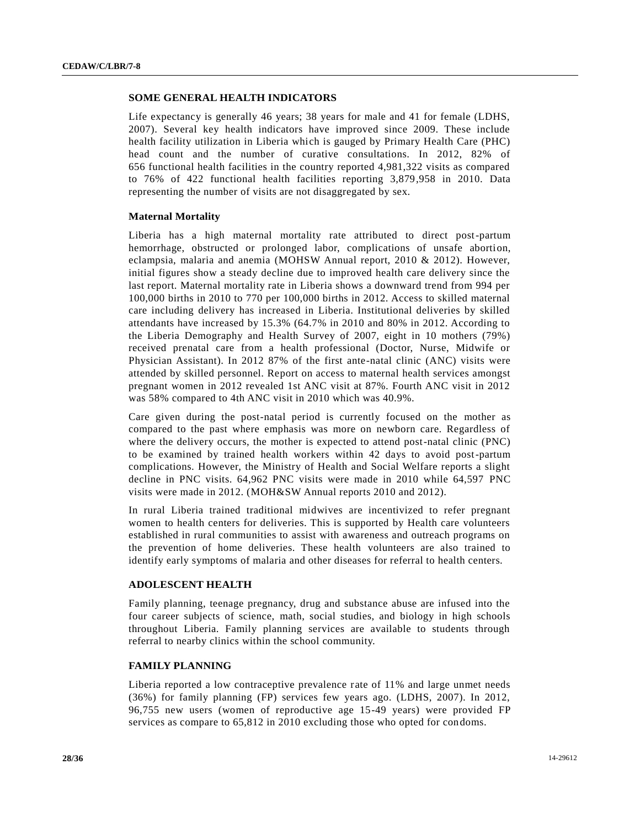## **SOME GENERAL HEALTH INDICATORS**

Life expectancy is generally 46 years; 38 years for male and 41 for female (LDHS, 2007). Several key health indicators have improved since 2009. These include health facility utilization in Liberia which is gauged by Primary Health Care (PHC) head count and the number of curative consultations. In 2012, 82% of 656 functional health facilities in the country reported 4,981,322 visits as compared to 76% of 422 functional health facilities reporting 3,879,958 in 2010. Data representing the number of visits are not disaggregated by sex.

#### **Maternal Mortality**

Liberia has a high maternal mortality rate attributed to direct post-partum hemorrhage, obstructed or prolonged labor, complications of unsafe abortion, eclampsia, malaria and anemia (MOHSW Annual report, 2010 & 2012). However, initial figures show a steady decline due to improved health care delivery since the last report. Maternal mortality rate in Liberia shows a downward trend from 994 per 100,000 births in 2010 to 770 per 100,000 births in 2012. Access to skilled maternal care including delivery has increased in Liberia. Institutional deliveries by skilled attendants have increased by 15.3% (64.7% in 2010 and 80% in 2012. According to the Liberia Demography and Health Survey of 2007, eight in 10 mothers (79%) received prenatal care from a health professional (Doctor, Nurse, Midwife or Physician Assistant). In 2012 87% of the first ante-natal clinic (ANC) visits were attended by skilled personnel. Report on access to maternal health services amongst pregnant women in 2012 revealed 1st ANC visit at 87%. Fourth ANC visit in 2012 was 58% compared to 4th ANC visit in 2010 which was 40.9%.

Care given during the post-natal period is currently focused on the mother as compared to the past where emphasis was more on newborn care. Regardless of where the delivery occurs, the mother is expected to attend post-natal clinic (PNC) to be examined by trained health workers within 42 days to avoid post-partum complications. However, the Ministry of Health and Social Welfare reports a slight decline in PNC visits. 64,962 PNC visits were made in 2010 while 64,597 PNC visits were made in 2012. (MOH&SW Annual reports 2010 and 2012).

In rural Liberia trained traditional midwives are incentivized to refer pregnant women to health centers for deliveries. This is supported by Health care volunteers established in rural communities to assist with awareness and outreach programs on the prevention of home deliveries. These health volunteers are also trained to identify early symptoms of malaria and other diseases for referral to health centers.

#### **ADOLESCENT HEALTH**

Family planning, teenage pregnancy, drug and substance abuse are infused into the four career subjects of science, math, social studies, and biology in high schools throughout Liberia. Family planning services are available to students through referral to nearby clinics within the school community.

## **FAMILY PLANNING**

Liberia reported a low contraceptive prevalence rate of 11% and large unmet needs (36%) for family planning (FP) services few years ago. (LDHS, 2007). In 2012, 96,755 new users (women of reproductive age 15-49 years) were provided FP services as compare to 65,812 in 2010 excluding those who opted for condoms.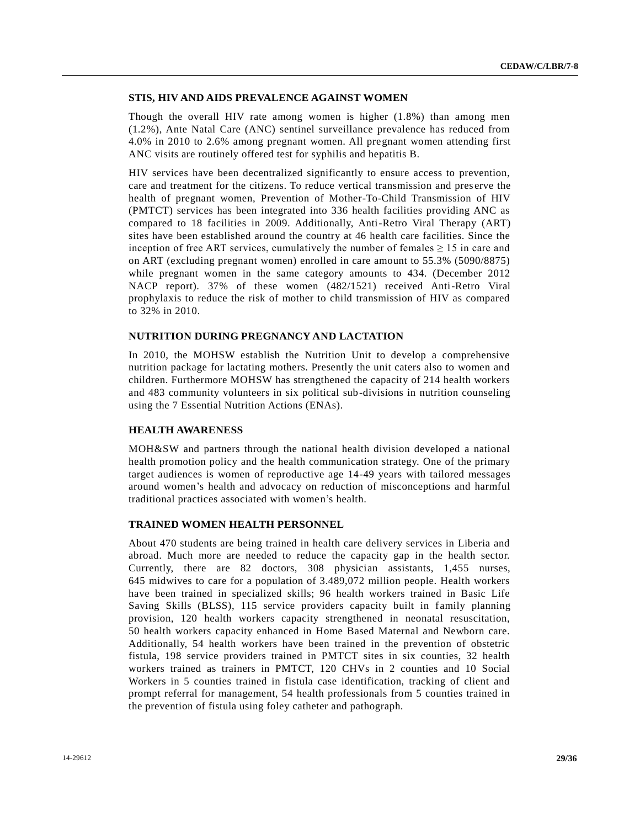## **STIS, HIV AND AIDS PREVALENCE AGAINST WOMEN**

Though the overall HIV rate among women is higher (1.8%) than among men (1.2%), Ante Natal Care (ANC) sentinel surveillance prevalence has reduced from 4.0% in 2010 to 2.6% among pregnant women. All pregnant women attending first ANC visits are routinely offered test for syphilis and hepatitis B.

HIV services have been decentralized significantly to ensure access to prevention, care and treatment for the citizens. To reduce vertical transmission and pres erve the health of pregnant women, Prevention of Mother-To-Child Transmission of HIV (PMTCT) services has been integrated into 336 health facilities providing ANC as compared to 18 facilities in 2009. Additionally, Anti-Retro Viral Therapy (ART) sites have been established around the country at 46 health care facilities. Since the inception of free ART services, cumulatively the number of females  $\geq 15$  in care and on ART (excluding pregnant women) enrolled in care amount to 55.3% (5090/8875) while pregnant women in the same category amounts to 434. (December 2012 NACP report). 37% of these women (482/1521) received Anti-Retro Viral prophylaxis to reduce the risk of mother to child transmission of HIV as compared to 32% in 2010.

#### **NUTRITION DURING PREGNANCY AND LACTATION**

In 2010, the MOHSW establish the Nutrition Unit to develop a comprehensive nutrition package for lactating mothers. Presently the unit caters also to women and children. Furthermore MOHSW has strengthened the capacity of 214 health workers and 483 community volunteers in six political sub-divisions in nutrition counseling using the 7 Essential Nutrition Actions (ENAs).

## **HEALTH AWARENESS**

MOH&SW and partners through the national health division developed a national health promotion policy and the health communication strategy. One of the primary target audiences is women of reproductive age 14-49 years with tailored messages around women's health and advocacy on reduction of misconceptions and harmful traditional practices associated with women's health.

#### **TRAINED WOMEN HEALTH PERSONNEL**

About 470 students are being trained in health care delivery services in Liberia and abroad. Much more are needed to reduce the capacity gap in the health sector. Currently, there are 82 doctors, 308 physician assistants, 1,455 nurses, 645 midwives to care for a population of 3.489,072 million people. Health workers have been trained in specialized skills; 96 health workers trained in Basic Life Saving Skills (BLSS), 115 service providers capacity built in family planning provision, 120 health workers capacity strengthened in neonatal resuscitation, 50 health workers capacity enhanced in Home Based Maternal and Newborn care. Additionally, 54 health workers have been trained in the prevention of obstetric fistula, 198 service providers trained in PMTCT sites in six counties, 32 health workers trained as trainers in PMTCT, 120 CHVs in 2 counties and 10 Social Workers in 5 counties trained in fistula case identification, tracking of client and prompt referral for management, 54 health professionals from 5 counties trained in the prevention of fistula using foley catheter and pathograph.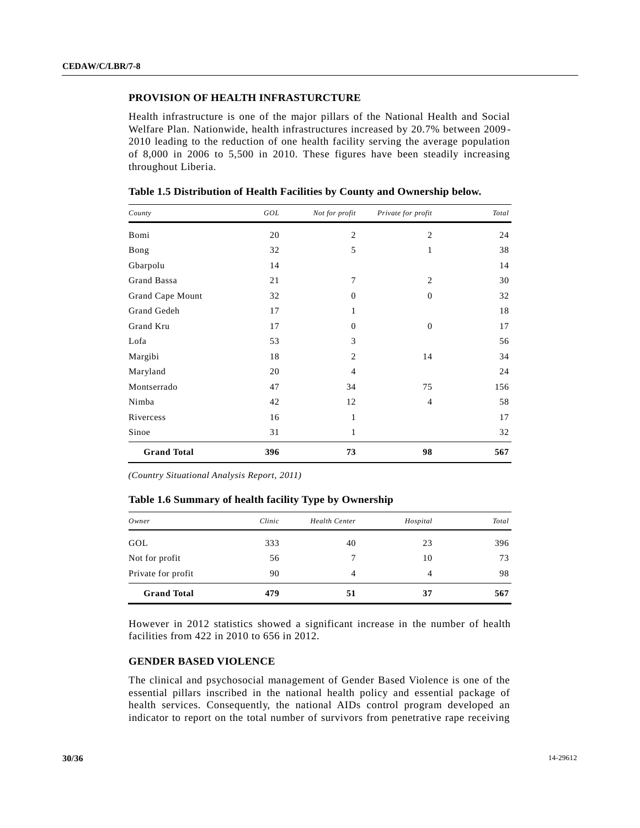## **PROVISION OF HEALTH INFRASTURCTURE**

Health infrastructure is one of the major pillars of the National Health and Social Welfare Plan. Nationwide, health infrastructures increased by 20.7% between 2009 - 2010 leading to the reduction of one health facility serving the average population of 8,000 in 2006 to 5,500 in 2010. These figures have been steadily increasing throughout Liberia.

| County             | GOL | Not for profit | Private for profit | Total |
|--------------------|-----|----------------|--------------------|-------|
| Bomi               | 20  | $\mathfrak{2}$ | $\overline{c}$     | 24    |
| Bong               | 32  | 5              | 1                  | 38    |
| Gbarpolu           | 14  |                |                    | 14    |
| Grand Bassa        | 21  | 7              | $\overline{2}$     | 30    |
| Grand Cape Mount   | 32  | $\overline{0}$ | $\mathbf{0}$       | 32    |
| Grand Gedeh        | 17  | $\mathbf{1}$   |                    | 18    |
| Grand Kru          | 17  | $\mathbf{0}$   | $\mathbf{0}$       | 17    |
| Lofa               | 53  | 3              |                    | 56    |
| Margibi            | 18  | $\overline{2}$ | 14                 | 34    |
| Maryland           | 20  | $\overline{4}$ |                    | 24    |
| Montserrado        | 47  | 34             | 75                 | 156   |
| Nimba              | 42  | 12             | $\overline{4}$     | 58    |
| Rivercess          | 16  | $\mathbf{1}$   |                    | 17    |
| Sinoe              | 31  | 1              |                    | 32    |
| <b>Grand Total</b> | 396 | 73             | 98                 | 567   |

**Table 1.5 Distribution of Health Facilities by County and Ownership below.**

*(Country Situational Analysis Report, 2011)*

**Table 1.6 Summary of health facility Type by Ownership**

| Owner              | Clinic | Health Center | Hospital | Total |
|--------------------|--------|---------------|----------|-------|
| GOL                | 333    | 40            | 23       | 396   |
| Not for profit     | 56     |               | 10       | 73    |
| Private for profit | 90     | 4             | 4        | 98    |
| <b>Grand Total</b> | 479    | 51            | 37       | 567   |

However in 2012 statistics showed a significant increase in the number of health facilities from 422 in 2010 to 656 in 2012.

## **GENDER BASED VIOLENCE**

The clinical and psychosocial management of Gender Based Violence is one of the essential pillars inscribed in the national health policy and essential package of health services. Consequently, the national AIDs control program developed an indicator to report on the total number of survivors from penetrative rape receiving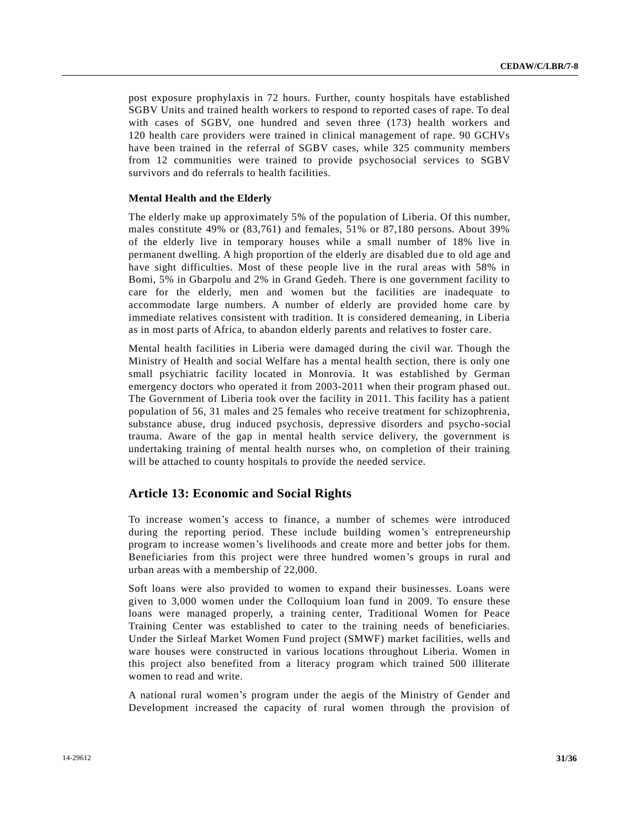post exposure prophylaxis in 72 hours. Further, county hospitals have established SGBV Units and trained health workers to respond to reported cases of rape. To deal with cases of SGBV, one hundred and seven three (173) health workers and 120 health care providers were trained in clinical management of rape. 90 GCHVs have been trained in the referral of SGBV cases, while 325 community members from 12 communities were trained to provide psychosocial services to SGBV survivors and do referrals to health facilities.

### **Mental Health and the Elderly**

The elderly make up approximately 5% of the population of Liberia. Of this number, males constitute 49% or (83,761) and females, 51% or 87,180 persons. About 39% of the elderly live in temporary houses while a small number of 18% live in permanent dwelling. A high proportion of the elderly are disabled due to old age and have sight difficulties. Most of these people live in the rural areas with 58% in Bomi, 5% in Gbarpolu and 2% in Grand Gedeh. There is one government facility to care for the elderly, men and women but the facilities are inadequate to accommodate large numbers. A number of elderly are provided home care by immediate relatives consistent with tradition. It is considered demeaning, in Liberia as in most parts of Africa, to abandon elderly parents and relatives to foster care.

Mental health facilities in Liberia were damaged during the civil war. Though the Ministry of Health and social Welfare has a mental health section, there is only one small psychiatric facility located in Monrovia. It was established by German emergency doctors who operated it from 2003-2011 when their program phased out. The Government of Liberia took over the facility in 2011. This facility has a patient population of 56, 31 males and 25 females who receive treatment for schizophrenia, substance abuse, drug induced psychosis, depressive disorders and psycho-social trauma. Aware of the gap in mental health service delivery, the government is undertaking training of mental health nurses who, on completion of their training will be attached to county hospitals to provide the needed service.

## **Article 13: Economic and Social Rights**

To increase women's access to finance, a number of schemes were introduced during the reporting period. These include building women's entrepreneurship program to increase women's livelihoods and create more and better jobs for them. Beneficiaries from this project were three hundred women's groups in rural and urban areas with a membership of 22,000.

Soft loans were also provided to women to expand their businesses. Loans were given to 3,000 women under the Colloquium loan fund in 2009. To ensure these loans were managed properly, a training center, Traditional Women for Peace Training Center was established to cater to the training needs of beneficiaries. Under the Sirleaf Market Women Fund project (SMWF) market facilities, wells and ware houses were constructed in various locations throughout Liberia. Women in this project also benefited from a literacy program which trained 500 illiterate women to read and write.

A national rural women's program under the aegis of the Ministry of Gender and Development increased the capacity of rural women through the provision of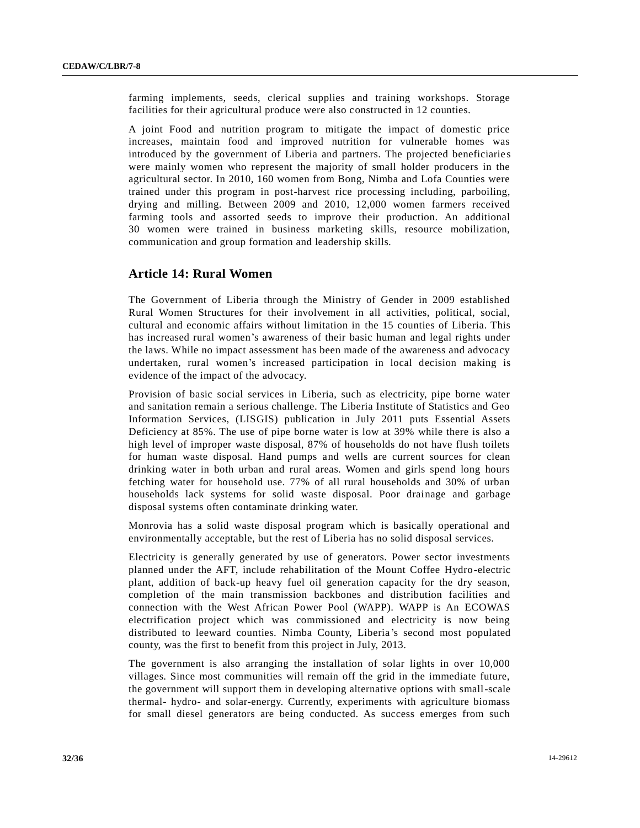farming implements, seeds, clerical supplies and training workshops. Storage facilities for their agricultural produce were also constructed in 12 counties.

A joint Food and nutrition program to mitigate the impact of domestic price increases, maintain food and improved nutrition for vulnerable homes was introduced by the government of Liberia and partners. The projected beneficiarie s were mainly women who represent the majority of small holder producers in the agricultural sector. In 2010, 160 women from Bong, Nimba and Lofa Counties were trained under this program in post-harvest rice processing including, parboiling, drying and milling. Between 2009 and 2010, 12,000 women farmers received farming tools and assorted seeds to improve their production. An additional 30 women were trained in business marketing skills, resource mobilization, communication and group formation and leadership skills.

## **Article 14: Rural Women**

The Government of Liberia through the Ministry of Gender in 2009 established Rural Women Structures for their involvement in all activities, political, social, cultural and economic affairs without limitation in the 15 counties of Liberia. This has increased rural women's awareness of their basic human and legal rights under the laws. While no impact assessment has been made of the awareness and advocacy undertaken, rural women's increased participation in local decision making is evidence of the impact of the advocacy.

Provision of basic social services in Liberia, such as electricity, pipe borne water and sanitation remain a serious challenge. The Liberia Institute of Statistics and Geo Information Services, (LISGIS) publication in July 2011 puts Essential Assets Deficiency at 85%. The use of pipe borne water is low at 39% while there is also a high level of improper waste disposal, 87% of households do not have flush toilets for human waste disposal. Hand pumps and wells are current sources for clean drinking water in both urban and rural areas. Women and girls spend long hours fetching water for household use. 77% of all rural households and 30% of urban households lack systems for solid waste disposal. Poor drainage and garbage disposal systems often contaminate drinking water.

Monrovia has a solid waste disposal program which is basically operational and environmentally acceptable, but the rest of Liberia has no solid disposal services.

Electricity is generally generated by use of generators. Power sector investments planned under the AFT, include rehabilitation of the Mount Coffee Hydro-electric plant, addition of back-up heavy fuel oil generation capacity for the dry season, completion of the main transmission backbones and distribution facilities and connection with the West African Power Pool (WAPP). WAPP is An ECOWAS electrification project which was commissioned and electricity is now being distributed to leeward counties. Nimba County, Liberia's second most populated county, was the first to benefit from this project in July, 2013.

The government is also arranging the installation of solar lights in over 10,000 villages. Since most communities will remain off the grid in the immediate future, the government will support them in developing alternative options with small-scale thermal- hydro- and solar-energy. Currently, experiments with agriculture biomass for small diesel generators are being conducted. As success emerges from such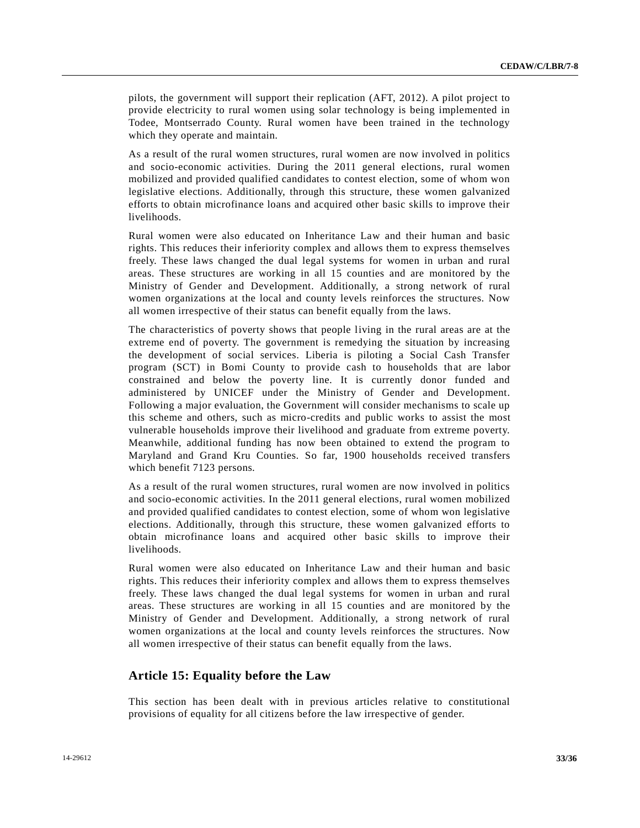pilots, the government will support their replication (AFT, 2012). A pilot project to provide electricity to rural women using solar technology is being implemented in Todee, Montserrado County. Rural women have been trained in the technology which they operate and maintain.

As a result of the rural women structures, rural women are now involved in politics and socio-economic activities. During the 2011 general elections, rural women mobilized and provided qualified candidates to contest election, some of whom won legislative elections. Additionally, through this structure, these women galvanized efforts to obtain microfinance loans and acquired other basic skills to improve their livelihoods.

Rural women were also educated on Inheritance Law and their human and basic rights. This reduces their inferiority complex and allows them to express themselves freely. These laws changed the dual legal systems for women in urban and rural areas. These structures are working in all 15 counties and are monitored by the Ministry of Gender and Development. Additionally, a strong network of rural women organizations at the local and county levels reinforces the structures. Now all women irrespective of their status can benefit equally from the laws.

The characteristics of poverty shows that people living in the rural areas are at the extreme end of poverty. The government is remedying the situation by increasing the development of social services. Liberia is piloting a Social Cash Transfer program (SCT) in Bomi County to provide cash to households that are labor constrained and below the poverty line. It is currently donor funded and administered by UNICEF under the Ministry of Gender and Development. Following a major evaluation, the Government will consider mechanisms to scale up this scheme and others, such as micro-credits and public works to assist the most vulnerable households improve their livelihood and graduate from extreme poverty. Meanwhile, additional funding has now been obtained to extend the program to Maryland and Grand Kru Counties. So far, 1900 households received transfers which benefit 7123 persons.

As a result of the rural women structures, rural women are now involved in politics and socio-economic activities. In the 2011 general elections, rural women mobilized and provided qualified candidates to contest election, some of whom won legislative elections. Additionally, through this structure, these women galvanized efforts to obtain microfinance loans and acquired other basic skills to improve their livelihoods.

Rural women were also educated on Inheritance Law and their human and basic rights. This reduces their inferiority complex and allows them to express themselves freely. These laws changed the dual legal systems for women in urban and rural areas. These structures are working in all 15 counties and are monitored by the Ministry of Gender and Development. Additionally, a strong network of rural women organizations at the local and county levels reinforces the structures. Now all women irrespective of their status can benefit equally from the laws.

## **Article 15: Equality before the Law**

This section has been dealt with in previous articles relative to constitutional provisions of equality for all citizens before the law irrespective of gender.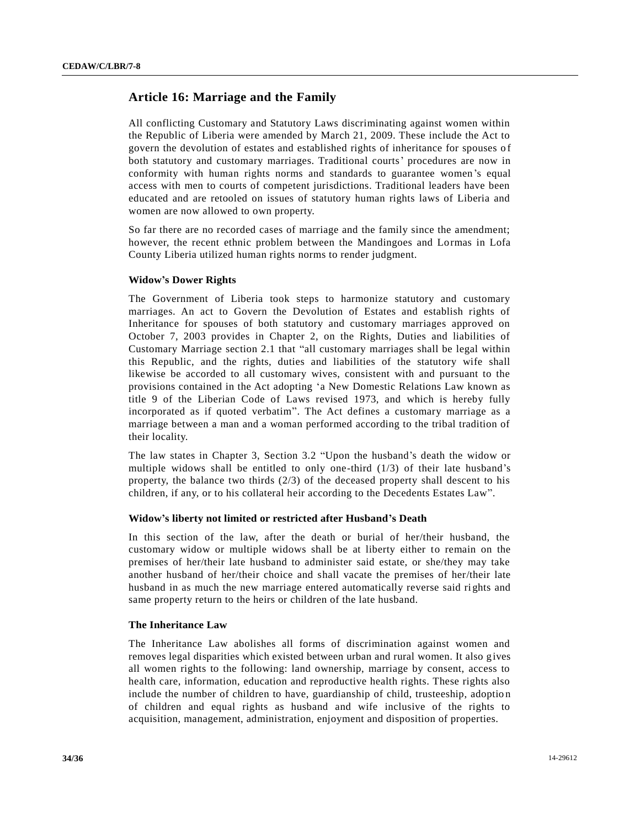## **Article 16: Marriage and the Family**

All conflicting Customary and Statutory Laws discriminating against women within the Republic of Liberia were amended by March 21, 2009. These include the Act to govern the devolution of estates and established rights of inheritance for spouses o f both statutory and customary marriages. Traditional courts' procedures are now in conformity with human rights norms and standards to guarantee women's equal access with men to courts of competent jurisdictions. Traditional leaders have been educated and are retooled on issues of statutory human rights laws of Liberia and women are now allowed to own property.

So far there are no recorded cases of marriage and the family since the amendment; however, the recent ethnic problem between the Mandingoes and Lormas in Lofa County Liberia utilized human rights norms to render judgment.

#### **Widow's Dower Rights**

The Government of Liberia took steps to harmonize statutory and customary marriages. An act to Govern the Devolution of Estates and establish rights of Inheritance for spouses of both statutory and customary marriages approved on October 7, 2003 provides in Chapter 2, on the Rights, Duties and liabilities of Customary Marriage section 2.1 that "all customary marriages shall be legal within this Republic, and the rights, duties and liabilities of the statutory wife shall likewise be accorded to all customary wives, consistent with and pursuant to the provisions contained in the Act adopting 'a New Domestic Relations Law known as title 9 of the Liberian Code of Laws revised 1973, and which is hereby fully incorporated as if quoted verbatim". The Act defines a customary marriage as a marriage between a man and a woman performed according to the tribal tradition of their locality.

The law states in Chapter 3, Section 3.2 "Upon the husband's death the widow or multiple widows shall be entitled to only one-third  $(1/3)$  of their late husband's property, the balance two thirds  $(2/3)$  of the deceased property shall descent to his children, if any, or to his collateral heir according to the Decedents Estates Law".

#### **Widow's liberty not limited or restricted after Husband's Death**

In this section of the law, after the death or burial of her/their husband, the customary widow or multiple widows shall be at liberty either to remain on the premises of her/their late husband to administer said estate, or she/they may take another husband of her/their choice and shall vacate the premises of her/their late husband in as much the new marriage entered automatically reverse said rights and same property return to the heirs or children of the late husband.

#### **The Inheritance Law**

The Inheritance Law abolishes all forms of discrimination against women and removes legal disparities which existed between urban and rural women. It also gives all women rights to the following: land ownership, marriage by consent, access to health care, information, education and reproductive health rights. These rights also include the number of children to have, guardianship of child, trusteeship, adoption of children and equal rights as husband and wife inclusive of the rights to acquisition, management, administration, enjoyment and disposition of properties.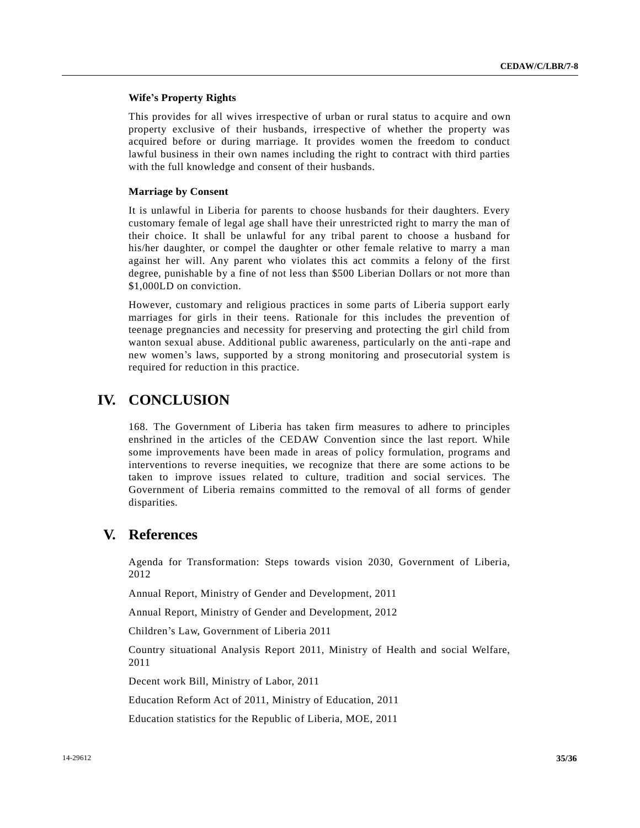## **Wife's Property Rights**

This provides for all wives irrespective of urban or rural status to a cquire and own property exclusive of their husbands, irrespective of whether the property was acquired before or during marriage. It provides women the freedom to conduct lawful business in their own names including the right to contract with third parties with the full knowledge and consent of their husbands.

### **Marriage by Consent**

It is unlawful in Liberia for parents to choose husbands for their daughters. Every customary female of legal age shall have their unrestricted right to marry the man of their choice. It shall be unlawful for any tribal parent to choose a husband for his/her daughter, or compel the daughter or other female relative to marry a man against her will. Any parent who violates this act commits a felony of the first degree, punishable by a fine of not less than \$500 Liberian Dollars or not more than \$1,000LD on conviction.

However, customary and religious practices in some parts of Liberia support early marriages for girls in their teens. Rationale for this includes the prevention of teenage pregnancies and necessity for preserving and protecting the girl child from wanton sexual abuse. Additional public awareness, particularly on the anti-rape and new women's laws, supported by a strong monitoring and prosecutorial system is required for reduction in this practice.

## **IV. CONCLUSION**

168. The Government of Liberia has taken firm measures to adhere to principles enshrined in the articles of the CEDAW Convention since the last report. While some improvements have been made in areas of policy formulation, programs and interventions to reverse inequities, we recognize that there are some actions to be taken to improve issues related to culture, tradition and social services. The Government of Liberia remains committed to the removal of all forms of gender disparities.

## **V. References**

Agenda for Transformation: Steps towards vision 2030, Government of Liberia, 2012

Annual Report, Ministry of Gender and Development, 2011

Annual Report, Ministry of Gender and Development, 2012

Children's Law, Government of Liberia 2011

Country situational Analysis Report 2011, Ministry of Health and social Welfare, 2011

Decent work Bill, Ministry of Labor, 2011

Education Reform Act of 2011, Ministry of Education, 2011

Education statistics for the Republic of Liberia, MOE, 2011